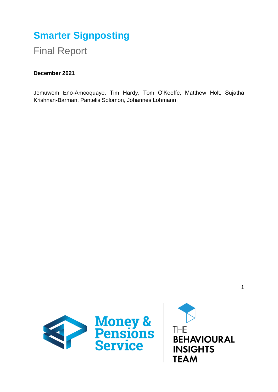# **Smarter Signposting**

Final Report

# **December 2021**

Jemuwem Eno-Amooquaye, Tim Hardy, Tom O'Keeffe, Matthew Holt, Sujatha Krishnan-Barman, Pantelis Solomon, Johannes Lohmann



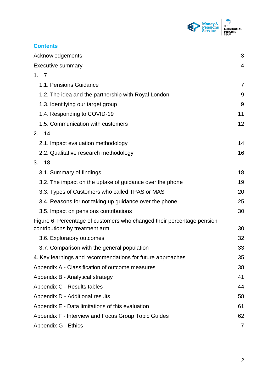

| <b>Contents</b>                                                                                          |                |
|----------------------------------------------------------------------------------------------------------|----------------|
| Acknowledgements                                                                                         | 3              |
| <b>Executive summary</b>                                                                                 | $\overline{4}$ |
| 1.7                                                                                                      |                |
| 1.1. Pensions Guidance                                                                                   | $\overline{7}$ |
| 1.2. The idea and the partnership with Royal London                                                      | 9              |
| 1.3. Identifying our target group                                                                        | 9              |
| 1.4. Responding to COVID-19                                                                              | 11             |
| 1.5. Communication with customers                                                                        | 12             |
| 2. 14                                                                                                    |                |
| 2.1. Impact evaluation methodology                                                                       | 14             |
| 2.2. Qualitative research methodology                                                                    | 16             |
| 3.<br>18                                                                                                 |                |
| 3.1. Summary of findings                                                                                 | 18             |
| 3.2. The impact on the uptake of guidance over the phone                                                 | 19             |
| 3.3. Types of Customers who called TPAS or MAS                                                           | 20             |
| 3.4. Reasons for not taking up guidance over the phone                                                   | 25             |
| 3.5. Impact on pensions contributions                                                                    | 30             |
| Figure 6: Percentage of customers who changed their percentage pension<br>contributions by treatment arm | 30             |
| 3.6. Exploratory outcomes                                                                                | 32             |
| 3.7. Comparison with the general population                                                              | 33             |
| 4. Key learnings and recommendations for future approaches                                               | 35             |
| Appendix A - Classification of outcome measures                                                          | 38             |
| Appendix B - Analytical strategy                                                                         | 41             |
| Appendix C - Results tables                                                                              | 44             |
| Appendix D - Additional results                                                                          | 58             |
| Appendix E - Data limitations of this evaluation                                                         | 61             |
| Appendix F - Interview and Focus Group Topic Guides                                                      | 62             |
| Appendix G - Ethics                                                                                      | 7              |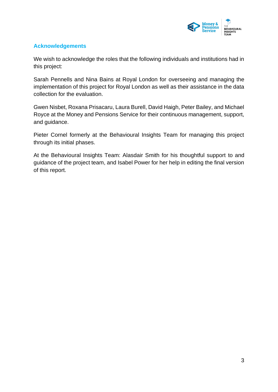

# <span id="page-2-0"></span>**Acknowledgements**

We wish to acknowledge the roles that the following individuals and institutions had in this project:

Sarah Pennells and Nina Bains at Royal London for overseeing and managing the implementation of this project for Royal London as well as their assistance in the data collection for the evaluation.

Gwen Nisbet, Roxana Prisacaru, Laura Burell, David Haigh, Peter Bailey, and Michael Royce at the Money and Pensions Service for their continuous management, support, and guidance.

Pieter Cornel formerly at the Behavioural Insights Team for managing this project through its initial phases.

At the Behavioural Insights Team: Alasdair Smith for his thoughtful support to and guidance of the project team, and Isabel Power for her help in editing the final version of this report.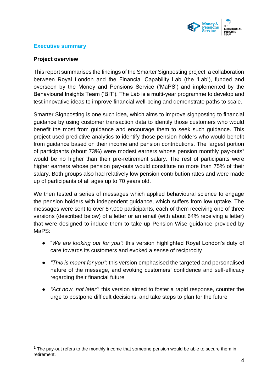

# <span id="page-3-0"></span>**Executive summary**

#### **Project overview**

This report summarises the findings of the Smarter Signposting project, a collaboration between Royal London and the Financial Capability Lab (the 'Lab'), funded and overseen by the Money and Pensions Service ('MaPS') and implemented by the Behavioural Insights Team ('BIT'). The Lab is a multi-year programme to develop and test innovative ideas to improve financial well-being and demonstrate paths to scale.

Smarter Signposting is one such idea, which aims to improve signposting to financial guidance by using customer transaction data to identify those customers who would benefit the most from guidance and encourage them to seek such guidance. This project used predictive analytics to identify those pension holders who would benefit from guidance based on their income and pension contributions. The largest portion of participants (about 73%) were modest earners whose pension monthly pay-outs<sup>1</sup> would be no higher than their pre-retirement salary. The rest of participants were higher earners whose pension pay-outs would constitute no more than 75% of their salary. Both groups also had relatively low pension contribution rates and were made up of participants of all ages up to 70 years old.

We then tested a series of messages which applied behavioural science to engage the pension holders with independent guidance, which suffers from low uptake. The messages were sent to over 87,000 participants, each of them receiving one of three versions (described below) of a letter or an email (with about 64% receiving a letter) that were designed to induce them to take up Pension Wise guidance provided by MaPS:

- "*We are looking out for you"*: this version highlighted Royal London's duty of care towards its customers and evoked a sense of reciprocity
- *"This is meant for you"*: this version emphasised the targeted and personalised nature of the message, and evoking customers' confidence and self-efficacy regarding their financial future
- *"Act now, not later"*: this version aimed to foster a rapid response, counter the urge to postpone difficult decisions, and take steps to plan for the future

 $1$  The pay-out refers to the monthly income that someone pension would be able to secure them in retirement.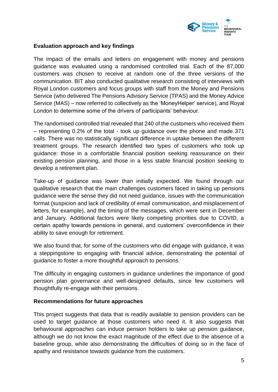

### **Evaluation approach and key findings**

The impact of the emails and letters on engagement with money and pensions guidance was evaluated using a randomised controlled trial. Each of the 87,000 customers was chosen to receive at random one of the three versions of the communication. BIT also conducted qualitative research consisting of interviews with Royal London customers and focus groups with staff from the Money and Pensions Service (who delivered The Pensions Advisory Service (TPAS) and the Money Advice Service (MAS) – now referred to collectively as the 'MoneyHelper' service), and Royal London to determine some of the drivers of participants' behaviour.

The randomised controlled trial revealed that 240 of the customers who received them – representing 0.2% of the total - took up guidance over the phone and made 371 calls. There was no statistically significant difference in uptake between the different treatment groups. The research identified two types of customers who took up guidance: those in a comfortable financial position seeking reassurance on their existing pension planning, and those in a less stable financial position seeking to develop a retirement plan.

Take-up of guidance was lower than initially expected. We found through our qualitative research that the main challenges customers faced in taking up pensions guidance were the sense they did not need guidance, issues with the communication format (suspicion and lack of credibility of email communication, and misplacement of letters, for example), and the timing of the messages, which were sent in December and January. Additional factors were likely competing priorities due to COVID, a certain apathy towards pensions in general, and customers' overconfidence in their ability to save enough for retirement.

We also found that, for some of the customers who did engage with guidance, it was a steppingstone to engaging with financial advice, demonstrating the potential of guidance to foster a more thoughtful approach to pensions.

The difficulty in engaging customers in guidance underlines the importance of good pension plan governance and well-designed defaults, since few customers will thoughtfully re-engage with their pensions.

#### **Recommendations for future approaches**

This project suggests that data that is readily available to pension providers can be used to target guidance at those customers who need it. It also suggests that behavioural approaches can induce pension holders to take up pension guidance, although we do not know the exact magnitude of the effect due to the absence of a baseline group, while also demonstrating the difficulties of doing so in the face of apathy and resistance towards guidance from the customers.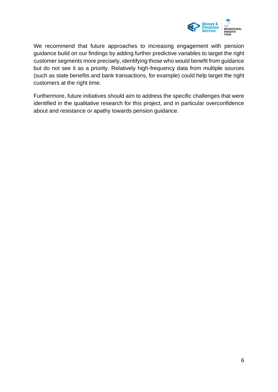

We recommend that future approaches to increasing engagement with pension guidance build on our findings by adding further predictive variables to target the right customer segments more precisely, identifying those who would benefit from guidance but do not see it as a priority. Relatively high-frequency data from multiple sources (such as state benefits and bank transactions, for example) could help target the right customers at the right time.

Furthermore, future initiatives should aim to address the specific challenges that were identified in the qualitative research for this project, and in particular overconfidence about and resistance or apathy towards pension guidance.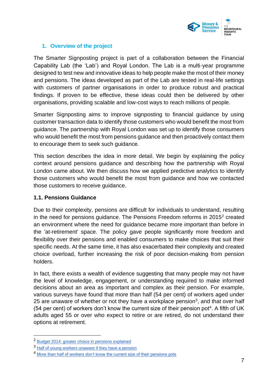

# <span id="page-6-0"></span>**1. Overview of the project**

The Smarter Signposting project is part of a collaboration between the Financial Capability Lab (the 'Lab') and Royal London. The Lab is a multi-year programme designed to test new and innovative ideas to help people make the most of their money and pensions. The ideas developed as part of the Lab are tested in real-life settings with customers of partner organisations in order to produce robust and practical findings. If proven to be effective, these ideas could then be delivered by other organisations, providing scalable and low-cost ways to reach millions of people.

Smarter Signposting aims to improve signposting to financial guidance by using customer transaction data to identify those customers who would benefit the most from guidance. The partnership with Royal London was set up to identify those consumers who would benefit the most from pensions guidance and then proactively contact them to encourage them to seek such guidance.

This section describes the idea in more detail. We begin by explaining the policy context around pensions guidance and describing how the partnership with Royal London came about. We then discuss how we applied predictive analytics to identify those customers who would benefit the most from guidance and how we contacted those customers to receive guidance.

### <span id="page-6-1"></span>**1.1. Pensions Guidance**

Due to their complexity, pensions are difficult for individuals to understand, resulting in the need for pensions guidance. The Pensions Freedom reforms in  $2015<sup>2</sup>$  created an environment where the need for guidance became more important than before in the 'at-retirement' space. The policy gave people significantly more freedom and flexibility over their pensions and enabled consumers to make choices that suit their specific needs. At the same time, it has also exacerbated their complexity and created choice overload, further increasing the risk of poor decision-making from pension holders.

In fact, there exists a wealth of evidence suggesting that many people may not have the level of knowledge, engagement, or understanding required to make informed decisions about an area as important and complex as their pension. For example, various surveys have found that more than half (54 per cent) of workers aged under 25 are unaware of whether or not they have a workplace pension<sup>3</sup>, and that over half (54 per cent) of workers don't know the current size of their pension pot<sup>4</sup>. A fifth of UK adults aged 55 or over who expect to retire or are retired, do not understand their options at retirement.

<sup>2</sup> [Budget 2014: greater choice in pensions explained](https://assets.publishing.service.gov.uk/government/uploads/system/uploads/attachment_data/file/301563/Pensions_fact_sheet_v8.pdf)

<sup>3</sup> [Half of young workers unaware if they have a pension](https://www.pensionsage.com/pa/Half-of-young-workers-unaware-if-they-have-a-pension.php)

<sup>4</sup> [More than half of workers don't know the current size of their pensions pots](https://www.plsa.co.uk/Press-Centre/News/Article/More-than-half-of-workers-dont-know-the-current-size-of-their-pensions-pots)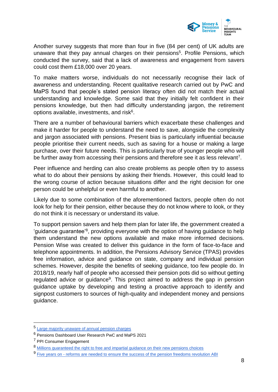

Another survey suggests that more than four in five (84 per cent) of UK adults are unaware that they pay annual charges on their pensions<sup>5</sup>. Profile Pensions, which conducted the survey, said that a lack of awareness and engagement from savers could cost them £18,000 over 20 years.

To make matters worse, individuals do not necessarily recognise their lack of awareness and understanding. Recent qualitative research carried out by PwC and MaPS found that people's stated pension literacy often did not match their actual understanding and knowledge. Some said that they initially felt confident in their pensions knowledge, but then had difficulty understanding jargon, the retirement options available, investments, and risk<sup>6</sup>.

There are a number of behavioural barriers which exacerbate these challenges and make it harder for people to understand the need to save, alongside the complexity and jargon associated with pensions. Present bias is particularly influential because people prioritise their current needs, such as saving for a house or making a large purchase, over their future needs. This is particularly true of younger people who will be further away from accessing their pensions and therefore see it as less relevant<sup>7</sup>.

Peer influence and herding can also create problems as people often try to assess what to do about their pensions by asking their friends. However, this could lead to the wrong course of action because situations differ and the right decision for one person could be unhelpful or even harmful to another.

Likely due to some combination of the aforementioned factors, people often do not look for help for their pension, either because they do not know where to look, or they do not think it is necessary or understand its value.

To support pension savers and help them plan for later life, the government created a 'guidance guarantee'<sup>8</sup>, providing everyone with the option of having guidance to help them understand the new options available and make more informed decisions. Pension Wise was created to deliver this guidance in the form of face-to-face and telephone appointments. In addition, the Pensions Advisory Service (TPAS) provides free information, advice and guidance on state, company and individual pension schemes. However, despite the benefits of seeking guidance, too few people do. In 2018/19, nearly half of people who accessed their pension pots did so without getting regulated advice or guidance<sup>9</sup>. This project aimed to address the gap in pension guidance uptake by developing and testing a proactive approach to identify and signpost customers to sources of high-quality and independent money and pensions guidance.

<sup>5</sup> [Large majority unaware of annual pension charges](https://www.pensionsage.com/pa/Large-majority-unaware-of-annual-pension-charges.php)

<sup>6</sup> [Pensions Dashboard User Research PwC and MaPS 2021](https://maps.org.uk/wp-content/uploads/2021/07/maps-pdp-user-reasearch-report-2021.pdf)

<sup>7</sup> [PPI Consumer Engagement](https://www.pensionspolicyinstitute.org.uk/sponsor-research/research-reports/2017/2017-07-19-consumer-engagement-the-role-of-policy-through-the-lifecourse/) 

<sup>8</sup> [Millions guaranteed the right to free and impartial guidance on their new pensions choices](https://www.gov.uk/government/news/millions-guaranteed-the-right-to-free-and-impartial-guidance-on-their-new-pensions-choices)

<sup>9</sup> Five years on - [reforms are needed to ensure the success of the pension freedoms revolution ABI](https://www.abi.org.uk/news/news-articles/2020/02/five-years-on-reforms-are-needed-to-ensure-the-success-of-the-pension-freedoms-revolution/)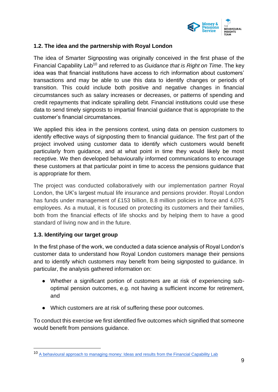

#### <span id="page-8-0"></span>**1.2. The idea and the partnership with Royal London**

The idea of Smarter Signposting was originally conceived in the first phase of the Financial Capability Lab<sup>10</sup> and referred to as *Guidance that is Right on Time*. The key idea was that financial institutions have access to rich information about customers' transactions and may be able to use this data to identify changes or periods of transition. This could include both positive and negative changes in financial circumstances such as salary increases or decreases, or patterns of spending and credit repayments that indicate spiralling debt. Financial institutions could use these data to send timely signposts to impartial financial guidance that is appropriate to the customer's financial circumstances.

We applied this idea in the pensions context, using data on pension customers to identify effective ways of signposting them to financial guidance. The first part of the project involved using customer data to identify which customers would benefit particularly from guidance, and at what point in time they would likely be most receptive. We then developed behaviourally informed communications to encourage these customers at that particular point in time to access the pensions guidance that is appropriate for them.

The project was conducted collaboratively with our implementation partner Royal London, the UK's largest mutual life insurance and pensions provider. Royal London has funds under management of £153 billion, 8.8 million policies in force and 4,075 employees. As a mutual, it is focused on protecting its customers and their families, both from the financial effects of life shocks and by helping them to have a good standard of living now and in the future.

#### <span id="page-8-1"></span>**1.3. Identifying our target group**

In the first phase of the work, we conducted a data science analysis of Royal London's customer data to understand how Royal London customers manage their pensions and to identify which customers may benefit from being signposted to guidance. In particular, the analysis gathered information on:

- Whether a significant portion of customers are at risk of experiencing suboptimal pension outcomes, e.g. not having a sufficient income for retirement, and
- Which customers are at risk of suffering these poor outcomes.

To conduct this exercise we first identified five outcomes which signified that someone would benefit from pensions guidance.

<sup>10</sup> [A behavioural approach to managing money: Ideas and results from the Financial Capability Lab](https://www.bi.team/publications/a-behavioural-approach-to-managing-money-ideas-and-results-from-the-financial-capability-lab/)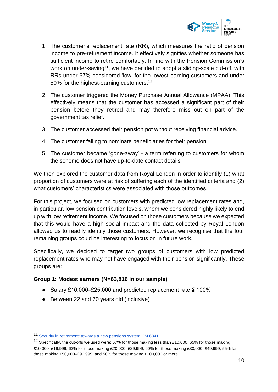

- 1. The customer's replacement rate (RR), which measures the ratio of pension income to pre-retirement income. It effectively signifies whether someone has sufficient income to retire comfortably. In line with the Pension Commission's work on under-saving<sup>11</sup>, we have decided to adopt a sliding-scale cut-off, with RRs under 67% considered 'low' for the lowest-earning customers and under 50% for the highest-earning customers.<sup>12</sup>
- 2. The customer triggered the Money Purchase Annual Allowance (MPAA). This effectively means that the customer has accessed a significant part of their pension before they retired and may therefore miss out on part of the government tax relief.
- 3. The customer accessed their pension pot without receiving financial advice.
- 4. The customer failing to nominate beneficiaries for their pension
- 5. The customer became 'gone-away' a term referring to customers for whom the scheme does not have up-to-date contact details

We then explored the customer data from Royal London in order to identify (1) what proportion of customers were at risk of suffering each of the identified criteria and (2) what customers' characteristics were associated with those outcomes.

For this project, we focused on customers with predicted low replacement rates and, in particular, low pension contribution levels, whom we considered highly likely to end up with low retirement income. We focused on those customers because we expected that this would have a high social impact and the data collected by Royal London allowed us to readily identify those customers. However, we recognise that the four remaining groups could be interesting to focus on in future work.

Specifically, we decided to target two groups of customers with low predicted replacement rates who may not have engaged with their pension significantly. These groups are:

# **Group 1: Modest earners (N=63,816 in our sample)**

- Salary £10,000–£25,000 and predicted replacement rate ≦ 100%
- Between 22 and 70 years old (inclusive)

<sup>11</sup> [Security in retirement: towards a new pensions system CM 6841](https://assets.publishing.service.gov.uk/government/uploads/system/uploads/attachment_data/file/272299/6841.pdf)

<sup>&</sup>lt;sup>12</sup> Specifically, the cut-offs we used were: 67% for those making less than £10,000; 65% for those making £10,000–£19,999; 63% for those making £20,000–£29,999; 60% for those making £30,000–£49,999; 55% for those making £50,000–£99,999; and 50% for those making £100,000 or more.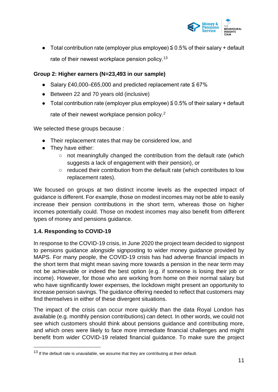

• Total contribution rate (employer plus employee)  $\leq$  0.5% of their salary + default rate of their newest workplace pension policy.<sup>13</sup>

# **Group 2: Higher earners (N=23,493 in our sample)**

- $\bullet$  Salary £40,000–£65,000 and predicted replacement rate  $\leq$  67%
- Between 22 and 70 years old (inclusive)
- Total contribution rate (employer plus employee)  $\leq$  0.5% of their salary + default

rate of their newest workplace pension policy.<sup>2</sup>

We selected these groups because :

- Their replacement rates that may be considered low, and
- They have either:
	- $\circ$  not meaningfully changed the contribution from the default rate (which suggests a lack of engagement with their pension), or
	- reduced their contribution from the default rate (which contributes to low replacement rates).

We focused on groups at two distinct income levels as the expected impact of guidance is different. For example, those on modest incomes may not be able to easily increase their pension contributions in the short term, whereas those on higher incomes potentially could. Those on modest incomes may also benefit from different types of money and pensions guidance.

# <span id="page-10-0"></span>**1.4. Responding to COVID-19**

In response to the COVID-19 crisis, in June 2020 the project team decided to signpost to pensions guidance *alongside* signposting to wider money guidance provided by MAPS. For many people, the COVID-19 crisis has had adverse financial impacts in the short term that might mean saving more towards a pension in the near term may not be achievable or indeed the best option (e.g. if someone is losing their job or income). However, for those who are working from home on their normal salary but who have significantly lower expenses, the lockdown might present an opportunity to increase pension savings. The guidance offering needed to reflect that customers may find themselves in either of these divergent situations.

The impact of the crisis can occur more quickly than the data Royal London has available (e.g. monthly pension contributions) can detect. In other words, we could not see which customers should think about pensions guidance and contributing more, and which ones were likely to face more immediate financial challenges and might benefit from wider COVID-19 related financial guidance. To make sure the project

 $13$  If the default rate is unavailable, we assume that they are contributing at their default.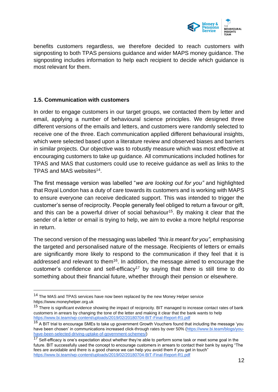

benefits customers regardless, we therefore decided to reach customers with signposting to both TPAS pensions guidance and wider MAPS money guidance. The signposting includes information to help each recipient to decide which guidance is most relevant for them.

### <span id="page-11-0"></span>**1.5. Communication with customers**

In order to engage customers in our target groups, we contacted them by letter and email, applying a number of behavioural science principles. We designed three different versions of the emails and letters, and customers were randomly selected to receive one of the three. Each communication applied different behavioural insights, which were selected based upon a literature review and observed biases and barriers in similar projects. Our objective was to robustly measure which was most effective at encouraging customers to take up guidance. All communications included hotlines for TPAS and MAS that customers could use to receive guidance as well as links to the TPAS and MAS websites<sup>14</sup>.

The first message version was labelled "*we are looking out for you"* and highlighted that Royal London has a duty of care towards its customers and is working with MAPS to ensure everyone can receive dedicated support. This was intended to trigger the customer's sense of reciprocity. People generally feel obliged to return a favour or gift, and this can be a powerful driver of social behaviour<sup>15</sup>. By making it clear that the sender of a letter or email is trying to help, we aim to evoke a more helpful response in return.

The second version of the messaging was labelled *"this is meant for you",* emphasising the targeted and personalised nature of the message. Recipients of letters or emails are significantly more likely to respond to the communication if they feel that it is addressed and relevant to them<sup>16</sup>. In addition, the message aimed to encourage the customer's confidence and self-efficacy<sup>17</sup> by saying that there is still time to do something about their financial future, whether through their pension or elsewhere.

<sup>&</sup>lt;sup>14</sup> The MAS and TPAS services have now been replaced by the new Money Helper service [https://www.moneyhelper.org.uk](https://www.moneyhelper.org.uk/) 

<sup>&</sup>lt;sup>15</sup> There is significant evidence showing the impact of reciprocity. BIT managed to increase contact rates of bank customers in arrears by changing the tone of the letter and making it clear that the bank wants to help <https://www.bi.team/wp-content/uploads/2019/02/20180704-BIT-Final-Report-R1.pdf>

<sup>&</sup>lt;sup>16</sup> A BIT trial to encourage SMEs to take up government Growth Vouchers found that including the message 'you have been chosen' in communications increased click-through rates by over 50% [\(https://www.bi.team/blogs/you](https://www.bi.team/blogs/you-have-been-selected-driving-uptake-of-government-schemes/)[have-been-selected-driving-uptake-of-government-schemes/\)](https://www.bi.team/blogs/you-have-been-selected-driving-uptake-of-government-schemes/)

 $\frac{17}{17}$  Self-efficacy is one's expectation about whether they're able to perform some task or meet some goal in the future. BIT successfully used the concept to encourage customers in arrears to contact their bank by saying "The fees are avoidable and there is a good chance we can help you avoid them if you get in touch" <https://www.bi.team/wp-content/uploads/2019/02/20180704-BIT-Final-Report-R1.pdf>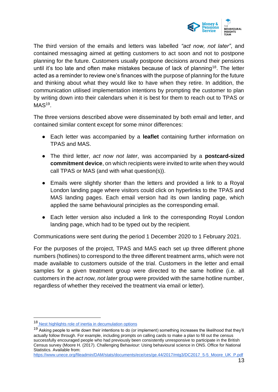

The third version of the emails and letters was labelled *"act now, not later"*, and contained messaging aimed at getting customers to act soon and not to postpone planning for the future. Customers usually postpone decisions around their pensions until it's too late and often make mistakes because of lack of planning<sup>18</sup>. The letter acted as a reminder to review one's finances with the purpose of planning for the future and thinking about what they would like to have when they retire. In addition, the communication utilised implementation intentions by prompting the customer to plan by writing down into their calendars when it is best for them to reach out to TPAS or  $\mathsf{MAS^{19}}$ .

The three versions described above were disseminated by both email and letter, and contained similar content except for some minor differences:

- Each letter was accompanied by a **leaflet** containing further information on TPAS and MAS.
- The third letter, *act now not later*, was accompanied by a **postcard-sized commitment device**, on which recipients were invited to write when they would call TPAS or MAS (and with what question(s)).
- Emails were slightly shorter than the letters and provided a link to a Royal London landing page where visitors could click on hyperlinks to the TPAS and MAS landing pages. Each email version had its own landing page, which applied the same behavioural principles as the corresponding email.
- Each letter version also included a link to the corresponding Royal London landing page, which had to be typed out by the recipient.

Communications were sent during the period 1 December 2020 to 1 February 2021.

For the purposes of the project, TPAS and MAS each set up three different phone numbers (hotlines) to correspond to the three different treatment arms, which were not made available to customers outside of the trial. Customers in the letter and email samples for a given treatment group were directed to the same hotline (i.e. all customers in the *act now, not later* group were provided with the same hotline number, regardless of whether they received the treatment via email or letter).

<sup>18</sup> Nest highlights role of inertia in decumulation options

<sup>&</sup>lt;sup>19</sup> Asking people to write down their intentions to do (or implement) something increases the likelihood that they'll actually follow through. For example, including prompts on calling cards to make a plan to fill out the census successfully encouraged people who had previously been consistently unresponsive to participate in the British Census survey (Moore H. (2017). Challenging Behaviour: Using behavioural science in ONS. Office for National Statistics. Available from:

[https://www.unece.org/fileadmin/DAM/stats/documents/ece/ces/ge.44/2017/mtg3/DC2017\\_5-5\\_Moore\\_UK\\_P.pdf](https://www.unece.org/fileadmin/DAM/stats/documents/ece/ces/ge.44/2017/mtg3/DC2017_5-5_Moore_UK_P.pdf)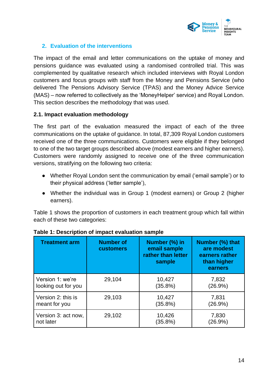

# <span id="page-13-0"></span>**2. Evaluation of the interventions**

The impact of the email and letter communications on the uptake of money and pensions guidance was evaluated using a randomised controlled trial. This was complemented by qualitative research which included interviews with Royal London customers and focus groups with staff from the Money and Pensions Service (who delivered The Pensions Advisory Service (TPAS) and the Money Advice Service (MAS) – now referred to collectively as the 'MoneyHelper' service) and Royal London. This section describes the methodology that was used.

#### <span id="page-13-1"></span>**2.1. Impact evaluation methodology**

The first part of the evaluation measured the impact of each of the three communications on the uptake of guidance. In total, 87,309 Royal London customers received one of the three communications. Customers were eligible if they belonged to one of the two target groups described above (modest earners and higher earners). Customers were randomly assigned to receive one of the three communication versions, stratifying on the following two criteria:

- Whether Royal London sent the communication by email ('email sample') or to their physical address ('letter sample'),
- Whether the individual was in Group 1 (modest earners) or Group 2 (higher earners).

Table 1 shows the proportion of customers in each treatment group which fall within each of these two categories:

| <b>Treatment arm</b> | <b>Number of</b><br><b>customers</b> | Number (%) in<br>email sample<br>rather than letter<br>sample | Number (%) that<br>are modest<br>earners rather<br>than higher<br>earners |
|----------------------|--------------------------------------|---------------------------------------------------------------|---------------------------------------------------------------------------|
| Version 1: we're     | 29,104                               | 10,427                                                        | 7,832                                                                     |
| looking out for you  |                                      | (35.8%)                                                       | (26.9%)                                                                   |
| Version 2: this is   | 29,103                               | 10,427                                                        | 7,831                                                                     |
| meant for you        |                                      | (35.8%)                                                       | (26.9%)                                                                   |
| Version 3: act now,  | 29,102                               | 10,426                                                        | 7,830                                                                     |
| not later            |                                      | (35.8%)                                                       | (26.9%)                                                                   |

| Table 1: Description of impact evaluation sample |  |  |
|--------------------------------------------------|--|--|
|                                                  |  |  |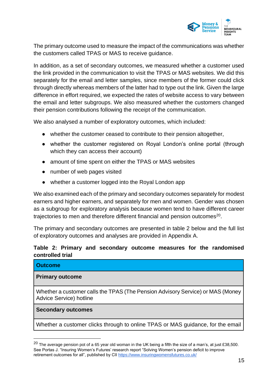

The primary outcome used to measure the impact of the communications was whether the customers called TPAS or MAS to receive guidance.

In addition, as a set of secondary outcomes, we measured whether a customer used the link provided in the communication to visit the TPAS or MAS websites. We did this separately for the email and letter samples, since members of the former could click through directly whereas members of the latter had to type out the link. Given the large difference in effort required, we expected the rates of website access to vary between the email and letter subgroups. We also measured whether the customers changed their pension contributions following the receipt of the communication.

We also analysed a number of exploratory outcomes, which included:

- whether the customer ceased to contribute to their pension altogether,
- whether the customer registered on Royal London's online portal (through which they can access their account)
- amount of time spent on either the TPAS or MAS websites
- number of web pages visited
- whether a customer logged into the Royal London app

We also examined each of the primary and secondary outcomes separately for modest earners and higher earners, and separately for men and women. Gender was chosen as a subgroup for exploratory analysis because women tend to have different career trajectories to men and therefore different financial and pension outcomes $^{20}$ .

The primary and secondary outcomes are presented in table 2 below and the full list of exploratory outcomes and analyses are provided in Appendix A.

# **Table 2: Primary and secondary outcome measures for the randomised controlled trial**

| <b>Outcome</b>                                                                                            |
|-----------------------------------------------------------------------------------------------------------|
| <b>Primary outcome</b>                                                                                    |
| Whether a customer calls the TPAS (The Pension Advisory Service) or MAS (Money<br>Advice Service) hotline |
| <b>Secondary outcomes</b>                                                                                 |
| Whether a customer clicks through to online TPAS or MAS guidance, for the email                           |

 $^{20}$  The average pension pot of a 65 year old woman in the UK being a fifth the size of a man's, at just £38,500. See Portas J. "Insuring Women's Futures' research report "Solving Women's pension deficit to improve retirement outcomes for all", published by CI[I https://www.insuringwomensfutures.co.uk/](https://www.insuringwomensfutures.co.uk/)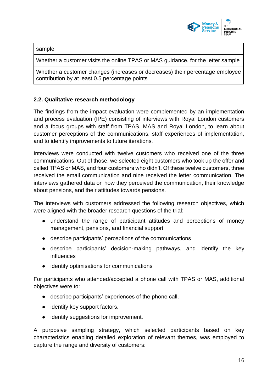

sample

Whether a customer visits the online TPAS or MAS guidance, for the letter sample

Whether a customer changes (increases or decreases) their percentage employee contribution by at least 0.5 percentage points

# <span id="page-15-0"></span>**2.2. Qualitative research methodology**

The findings from the impact evaluation were complemented by an implementation and process evaluation (IPE) consisting of interviews with Royal London customers and a focus groups with staff from TPAS, MAS and Royal London, to learn about customer perceptions of the communications, staff experiences of implementation, and to identify improvements to future iterations.

Interviews were conducted with twelve customers who received one of the three communications. Out of those, we selected eight customers who took up the offer and called TPAS or MAS, and four customers who didn't. Of these twelve customers, three received the email communication and nine received the letter communication. The interviews gathered data on how they perceived the communication, their knowledge about pensions, and their attitudes towards pensions.

The interviews with customers addressed the following research objectives, which were aligned with the broader research questions of the trial:

- understand the range of participant attitudes and perceptions of money management, pensions, and financial support
- describe participants' perceptions of the communications
- describe participants' decision-making pathways, and identify the key influences
- identify optimisations for communications

For participants who attended/accepted a phone call with TPAS or MAS, additional objectives were to:

- describe participants' experiences of the phone call.
- identify key support factors.
- identify suggestions for improvement.

A purposive sampling strategy, which selected participants based on key characteristics enabling detailed exploration of relevant themes, was employed to capture the range and diversity of customers: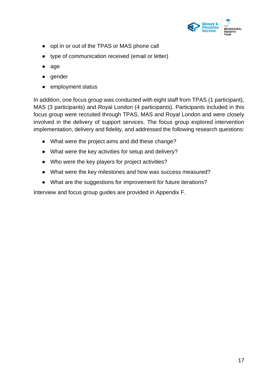

- opt in or out of the TPAS or MAS phone call
- type of communication received (email or letter)
- age
- gender
- employment status

In addition, one focus group was conducted with eight staff from TPAS (1 participant), MAS (3 participants) and Royal London (4 participants). Participants included in this focus group were recruited through TPAS, MAS and Royal London and were closely involved in the delivery of support services. The focus group explored intervention implementation, delivery and fidelity, and addressed the following research questions:

- What were the project aims and did these change?
- What were the key activities for setup and delivery?
- Who were the key players for project activities?
- What were the key milestones and how was success measured?
- What are the suggestions for improvement for future iterations?

Interview and focus group guides are provided in Appendix F.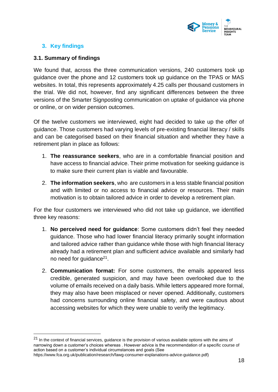

# <span id="page-17-0"></span>**3. Key findings**

### <span id="page-17-1"></span>**3.1. Summary of findings**

We found that, across the three communication versions, 240 customers took up guidance over the phone and 12 customers took up guidance on the TPAS or MAS websites. In total, this represents approximately 4.25 calls per thousand customers in the trial. We did not, however, find any significant differences between the three versions of the Smarter Signposting communication on uptake of guidance via phone or online, or on wider pension outcomes.

Of the twelve customers we interviewed, eight had decided to take up the offer of guidance. Those customers had varying levels of pre-existing financial literacy / skills and can be categorised based on their financial situation and whether they have a retirement plan in place as follows:

- 1. **The reassurance seekers**, who are in a comfortable financial position and have access to financial advice. Their prime motivation for seeking guidance is to make sure their current plan is viable and favourable.
- 2. **The information seekers**, who are customers in a less stable financial position and with limited or no access to financial advice or resources. Their main motivation is to obtain tailored advice in order to develop a retirement plan.

For the four customers we interviewed who did not take up guidance, we identified three key reasons:

- 1. **No perceived need for guidance**: Some customers didn't feel they needed guidance. Those who had lower financial literacy primarily sought information and tailored advice rather than guidance while those with high financial literacy already had a retirement plan and sufficient advice available and similarly had no need for guidance<sup>21</sup>.
- 2. **Communication format:** For some customers, the emails appeared less credible, generated suspicion, and may have been overlooked due to the volume of emails received on a daily basis. While letters appeared more formal, they may also have been misplaced or never opened. Additionally, customers had concerns surrounding online financial safety, and were cautious about accessing websites for which they were unable to verify the legitimacy.

 $21$  In the context of financial services, guidance is the provision of various available options with the aims of narrowing down a customer's choices whereas . However advice is the recommendation of a specific course of action based on a customer's individual circumstances and goals (See

[https://www.fca.org.uk/publication/research/fawg-consumer-explanations-advice-guidance.pdf\)](https://www.fca.org.uk/publication/research/fawg-consumer-explanations-advice-guidance.pdf)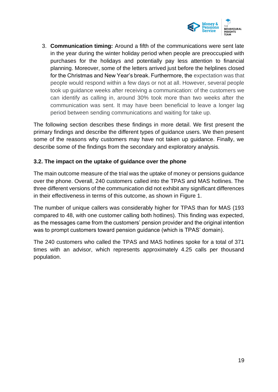

3. **Communication timing:** Around a fifth of the communications were sent late in the year during the winter holiday period when people are preoccupied with purchases for the holidays and potentially pay less attention to financial planning. Moreover, some of the letters arrived just before the helplines closed for the Christmas and New Year's break. Furthermore, the expectation was that people would respond within a few days or not at all. However, several people took up guidance weeks after receiving a communication: of the customers we can identify as calling in, around 30% took more than two weeks after the communication was sent. It may have been beneficial to leave a longer lag period between sending communications and waiting for take up.

The following section describes these findings in more detail. We first present the primary findings and describe the different types of guidance users. We then present some of the reasons why customers may have not taken up guidance. Finally, we describe some of the findings from the secondary and exploratory analysis.

# <span id="page-18-0"></span>**3.2. The impact on the uptake of guidance over the phone**

The main outcome measure of the trial was the uptake of money or pensions guidance over the phone. Overall, 240 customers called into the TPAS and MAS hotlines. The three different versions of the communication did not exhibit any significant differences in their effectiveness in terms of this outcome, as shown in Figure 1.

The number of unique callers was considerably higher for TPAS than for MAS (193 compared to 48, with one customer calling both hotlines). This finding was expected, as the messages came from the customers' pension provider and the original intention was to prompt customers toward pension guidance (which is TPAS' domain).

The 240 customers who called the TPAS and MAS hotlines spoke for a total of 371 times with an advisor, which represents approximately 4.25 calls per thousand population.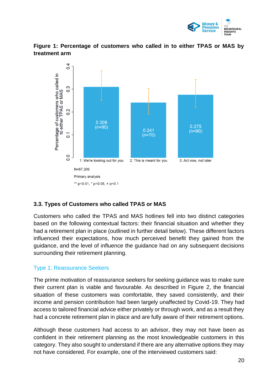





# <span id="page-19-0"></span>**3.3. Types of Customers who called TPAS or MAS**

Customers who called the TPAS and MAS hotlines fell into two distinct categories based on the following contextual factors: their financial situation and whether they had a retirement plan in place (outlined in further detail below). These different factors influenced their expectations, how much perceived benefit they gained from the guidance, and the level of influence the guidance had on any subsequent decisions surrounding their retirement planning.

# Type 1: Reassurance Seekers

The prime motivation of reassurance seekers for seeking guidance was to make sure their current plan is viable and favourable. As described in Figure 2, the financial situation of these customers was comfortable, they saved consistently, and their income and pension contribution had been largely unaffected by Covid-19. They had access to tailored financial advice either privately or through work, and as a result they had a concrete retirement plan in place and are fully aware of their retirement options.

Although these customers had access to an advisor, they may not have been as confident in their retirement planning as the most knowledgeable customers in this category. They also sought to understand if there are any alternative options they may not have considered. For example, one of the interviewed customers said: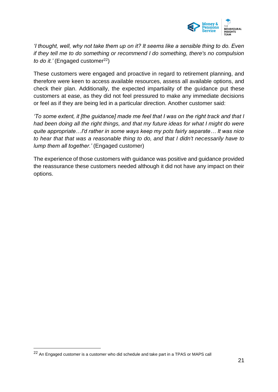

*'I thought, well, why not take them up on it? It seems like a sensible thing to do. Even if they tell me to do something or recommend I do something, there's no compulsion to do it.'* (Engaged customer<sup>22</sup>)

These customers were engaged and proactive in regard to retirement planning, and therefore were keen to access available resources, assess all available options, and check their plan. Additionally, the expected impartiality of the guidance put these customers at ease, as they did not feel pressured to make any immediate decisions or feel as if they are being led in a particular direction. Another customer said:

*'To some extent, it [the guidance] made me feel that I was on the right track and that I had been doing all the right things, and that my future ideas for what I might do were quite appropriate…I'd rather in some ways keep my pots fairly separate… It was nice to hear that that was a reasonable thing to do, and that I didn't necessarily have to lump them all together.'* (Engaged customer)

The experience of those customers with guidance was positive and guidance provided the reassurance these customers needed although it did not have any impact on their options.

<sup>22</sup> An Engaged customer is a customer who did schedule and take part in a TPAS or MAPS call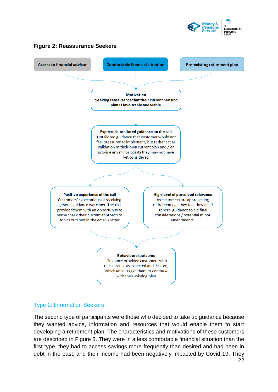

# **Figure 2: Reassurance Seekers**



#### Type 2: Information Seekers

The second type of participants were those who decided to take up guidance because they wanted advice, information and resources that would enable them to start developing a retirement plan. The characteristics and motivations of these customers are described in Figure 3. They were in a less comfortable financial situation than the first type, they had to access savings more frequently than desired and had been in debt in the past, and their income had been negatively impacted by Covid-19. They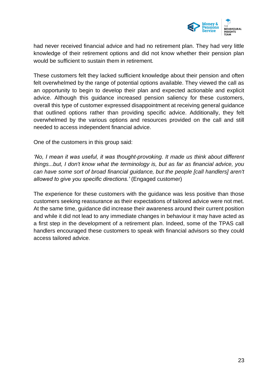

had never received financial advice and had no retirement plan. They had very little knowledge of their retirement options and did not know whether their pension plan would be sufficient to sustain them in retirement.

These customers felt they lacked sufficient knowledge about their pension and often felt overwhelmed by the range of potential options available. They viewed the call as an opportunity to begin to develop their plan and expected actionable and explicit advice. Although this guidance increased pension saliency for these customers, overall this type of customer expressed disappointment at receiving general guidance that outlined options rather than providing specific advice. Additionally, they felt overwhelmed by the various options and resources provided on the call and still needed to access independent financial advice.

One of the customers in this group said:

*'No, I mean it was useful, it was thought-provoking. It made us think about different things...but, I don't know what the terminology is, but as far as financial advice, you can have some sort of broad financial guidance, but the people [call handlers] aren't allowed to give you specific directions.'* (Engaged customer)

The experience for these customers with the guidance was less positive than those customers seeking reassurance as their expectations of tailored advice were not met. At the same time, guidance did increase their awareness around their current position and while it did not lead to any immediate changes in behaviour it may have acted as a first step in the development of a retirement plan. Indeed, some of the TPAS call handlers encouraged these customers to speak with financial advisors so they could access tailored advice.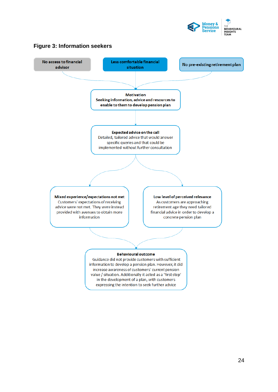



# **Figure 3: Information seekers**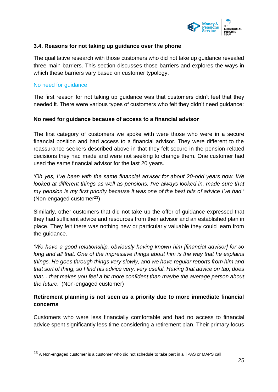

### <span id="page-24-0"></span>**3.4. Reasons for not taking up guidance over the phone**

The qualitative research with those customers who did not take up guidance revealed three main barriers. This section discusses those barriers and explores the ways in which these barriers vary based on customer typology.

#### No need for guidance

The first reason for not taking up guidance was that customers didn't feel that they needed it. There were various types of customers who felt they didn't need guidance:

#### **No need for guidance because of access to a financial advisor**

The first category of customers we spoke with were those who were in a secure financial position and had access to a financial advisor. They were different to the reassurance seekers described above in that they felt secure in the pension-related decisions they had made and were not seeking to change them. One customer had used the same financial advisor for the last 20 years.

*'Oh yes, I've been with the same financial adviser for about 20-odd years now. We looked at different things as well as pensions. I've always looked in, made sure that my pension is my first priority because it was one of the best bits of advice I've had.'* (Non-engaged customer<sup>23</sup>)

Similarly, other customers that did not take up the offer of guidance expressed that they had sufficient advice and resources from their advisor and an established plan in place. They felt there was nothing new or particularly valuable they could learn from the guidance.

*'We have a good relationship, obviously having known him [financial advisor] for so long and all that. One of the impressive things about him is the way that he explains things. He goes through things very slowly, and we have regular reports from him and that sort of thing, so I find his advice very, very useful. Having that advice on tap, does that... that makes you feel a bit more confident than maybe the average person about the future.'* (Non-engaged customer)

# **Retirement planning is not seen as a priority due to more immediate financial concerns**

Customers who were less financially comfortable and had no access to financial advice spent significantly less time considering a retirement plan. Their primary focus

<sup>&</sup>lt;sup>23</sup> A Non-engaged customer is a customer who did not schedule to take part in a TPAS or MAPS call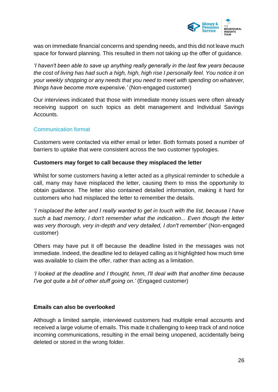

was on immediate financial concerns and spending needs, and this did not leave much space for forward planning. This resulted in them not taking up the offer of guidance.

*'I haven't been able to save up anything really generally in the last few years because the cost of living has had such a high, high, high rise I personally feel. You notice it on your weekly shopping or any needs that you need to meet with spending on whatever, things have become more expensive.'* (Non-engaged customer)

Our interviews indicated that those with immediate money issues were often already receiving support on such topics as debt management and Individual Savings Accounts.

# Communication format

Customers were contacted via either email or letter. Both formats posed a number of barriers to uptake that were consistent across the two customer typologies.

#### **Customers may forget to call because they misplaced the letter**

Whilst for some customers having a letter acted as a physical reminder to schedule a call, many may have misplaced the letter, causing them to miss the opportunity to obtain guidance. The letter also contained detailed information, making it hard for customers who had misplaced the letter to remember the details.

*'I misplaced the letter and I really wanted to get in touch with the list, because I have such a bad memory, I don't remember what the indication... Even though the letter was very thorough, very in-depth and very detailed, I don't remember'* (Non-engaged customer)

Others may have put it off because the deadline listed in the messages was not immediate. Indeed, the deadline led to delayed calling as it highlighted how much time was available to claim the offer, rather than acting as a limitation.

*'I looked at the deadline and I thought, hmm, I'll deal with that another time because I've got quite a bit of other stuff going on.'* (Engaged customer)

#### **Emails can also be overlooked**

Although a limited sample, interviewed customers had multiple email accounts and received a large volume of emails. This made it challenging to keep track of and notice incoming communications, resulting in the email being unopened, accidentally being deleted or stored in the wrong folder.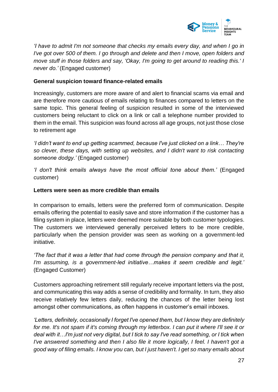

*'I have to admit I'm not someone that checks my emails every day, and when I go in I've got over 500 of them. I go through and delete and then I move, open folders and move stuff in those folders and say, 'Okay, I'm going to get around to reading this.' I never do.'* (Engaged customer)

#### **General suspicion toward finance-related emails**

Increasingly, customers are more aware of and alert to financial scams via email and are therefore more cautious of emails relating to finances compared to letters on the same topic. This general feeling of suspicion resulted in some of the interviewed customers being reluctant to click on a link or call a telephone number provided to them in the email. This suspicion was found across all age groups, not just those close to retirement age

*'I didn't want to end up getting scammed, because I've just clicked on a link… They're so clever, these days, with setting up websites, and I didn't want to risk contacting someone dodgy.'* (Engaged customer)

*'I don't think emails always have the most official tone about them.'* (Engaged customer)

#### **Letters were seen as more credible than emails**

In comparison to emails, letters were the preferred form of communication. Despite emails offering the potential to easily save and store information if the customer has a filing system in place, letters were deemed more suitable by both customer typologies. The customers we interviewed generally perceived letters to be more credible, particularly when the pension provider was seen as working on a government-led initiative.

*'The fact that it was a letter that had come through the pension company and that it, I'm assuming, is a government-led initiative…makes it seem credible and legit.'* (Engaged Customer)

Customers approaching retirement still regularly receive important letters via the post, and communicating this way adds a sense of credibility and formality. In turn, they also receive relatively few letters daily, reducing the chances of the letter being lost amongst other communications, as often happens in customer's email inboxes.

*'Letters, definitely, occasionally I forget I've opened them, but I know they are definitely for me. It's not spam if it's coming through my letterbox. I can put it where I'll see it or deal with it…I'm just not very digital, but I tick to say I've read something, or I tick when I've answered something and then I also file it more logically, I feel. I haven't got a good way of filing emails. I know you can, but I just haven't. I get so many emails about*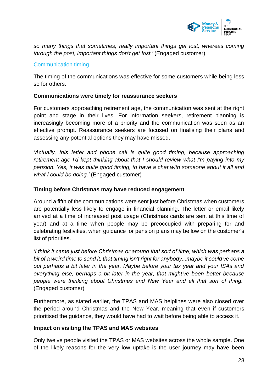

*so many things that sometimes, really important things get lost, whereas coming through the post, important things don't get lost.'* (Engaged customer)

# Communication timing

The timing of the communications was effective for some customers while being less so for others.

### **Communications were timely for reassurance seekers**

For customers approaching retirement age, the communication was sent at the right point and stage in their lives. For information seekers, retirement planning is increasingly becoming more of a priority and the communication was seen as an effective prompt. Reassurance seekers are focused on finalising their plans and assessing any potential options they may have missed.

*'Actually, this letter and phone call is quite good timing, because approaching retirement age I'd kept thinking about that I should review what I'm paying into my pension. Yes, it was quite good timing, to have a chat with someone about it all and what I could be doing.'* (Engaged customer)

# **Timing before Christmas may have reduced engagement**

Around a fifth of the communications were sent just before Christmas when customers are potentially less likely to engage in financial planning. The letter or email likely arrived at a time of increased post usage (Christmas cards are sent at this time of year) and at a time when people may be preoccupied with preparing for and celebrating festivities, when guidance for pension plans may be low on the customer's list of priorities.

*'I think it came just before Christmas or around that sort of time, which was perhaps a bit of a weird time to send it, that timing isn't right for anybody...maybe it could've come out perhaps a bit later in the year. Maybe before your tax year and your ISAs and everything else, perhaps a bit later in the year, that might've been better because people were thinking about Christmas and New Year and all that sort of thing.'*  (Engaged customer)

Furthermore, as stated earlier, the TPAS and MAS helplines were also closed over the period around Christmas and the New Year, meaning that even if customers prioritised the guidance, they would have had to wait before being able to access it.

#### **Impact on visiting the TPAS and MAS websites**

Only twelve people visited the TPAS or MAS websites across the whole sample. One of the likely reasons for the very low uptake is the user journey may have been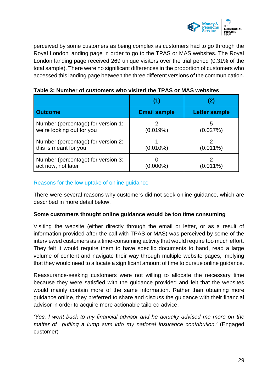

perceived by some customers as being complex as customers had to go through the Royal London landing page in order to go to the TPAS or MAS websites. The Royal London landing page received 269 unique visitors over the trial period (0.31% of the total sample). There were no significant differences in the proportion of customers who accessed this landing page between the three different versions of the communication.

|                                                                 | (1)                 |                      |
|-----------------------------------------------------------------|---------------------|----------------------|
| <b>Outcome</b>                                                  | <b>Email sample</b> | <b>Letter sample</b> |
| Number (percentage) for version 1:<br>we're looking out for you | (0.019%)            | 5<br>(0.027%)        |
| Number (percentage) for version 2:<br>this is meant for you     | $(0.010\%)$         | $(0.011\%)$          |
| Number (percentage) for version 3:<br>act now, not later        | $000\%$             | $(0.011\%)$          |

**Table 3: Number of customers who visited the TPAS or MAS websites**

# Reasons for the low uptake of online guidance

There were several reasons why customers did not seek online guidance, which are described in more detail below.

# **Some customers thought online guidance would be too time consuming**

Visiting the website (either directly through the email or letter, or as a result of information provided after the call with TPAS or MAS) was perceived by some of the interviewed customers as a time-consuming activity that would require too much effort. They felt it would require them to have specific documents to hand, read a large volume of content and navigate their way through multiple website pages, implying that they would need to allocate a significant amount of time to pursue online guidance.

Reassurance-seeking customers were not willing to allocate the necessary time because they were satisfied with the guidance provided and felt that the websites would mainly contain more of the same information. Rather than obtaining more guidance online, they preferred to share and discuss the guidance with their financial advisor in order to acquire more actionable tailored advice.

*'Yes, I went back to my financial advisor and he actually advised me more on the matter of putting a lump sum into my national insurance contribution.'* (Engaged customer)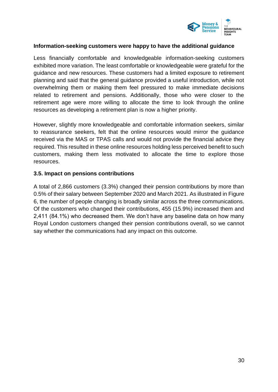

#### **Information-seeking customers were happy to have the additional guidance**

Less financially comfortable and knowledgeable information-seeking customers exhibited more variation. The least comfortable or knowledgeable were grateful for the guidance and new resources. These customers had a limited exposure to retirement planning and said that the general guidance provided a useful introduction, while not overwhelming them or making them feel pressured to make immediate decisions related to retirement and pensions. Additionally, those who were closer to the retirement age were more willing to allocate the time to look through the online resources as developing a retirement plan is now a higher priority.

However, slightly more knowledgeable and comfortable information seekers, similar to reassurance seekers, felt that the online resources would mirror the guidance received via the MAS or TPAS calls and would not provide the financial advice they required. This resulted in these online resources holding less perceived benefit to such customers, making them less motivated to allocate the time to explore those resources.

#### <span id="page-29-0"></span>**3.5. Impact on pensions contributions**

A total of 2,866 customers (3.3%) changed their pension contributions by more than 0.5% of their salary between September 2020 and March 2021. As illustrated in Figure 6, the number of people changing is broadly similar across the three communications. Of the customers who changed their contributions, 455 (15.9%) increased them and 2,411 (84.1%) who decreased them. We don't have any baseline data on how many Royal London customers changed their pension contributions overall, so we cannot say whether the communications had any impact on this outcome.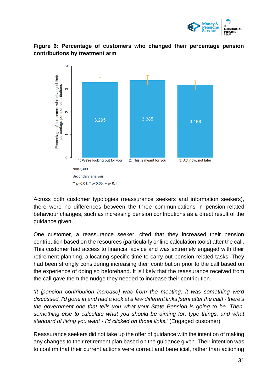

<span id="page-30-0"></span>



Across both customer typologies (reassurance seekers and information seekers), there were no differences between the three communications in pension-related behaviour changes, such as increasing pension contributions as a direct result of the guidance given.

One customer, a reassurance seeker, cited that they increased their pension contribution based on the resources (particularly online calculation tools) after the call. This customer had access to financial advice and was extremely engaged with their retirement planning, allocating specific time to carry out pension-related tasks. They had been strongly considering increasing their contribution prior to the call based on the experience of doing so beforehand. It is likely that the reassurance received from the call gave them the nudge they needed to increase their contribution.

*'It [pension contribution increase] was from the meeting; it was something we'd discussed. I'd gone in and had a look at a few different links [sent after the call] - there's the government one that tells you what your State Pension is going to be. Then, something else to calculate what you should be aiming for, type things, and what standard of living you want - I'd clicked on those links.'* (Engaged customer)

Reassurance seekers did not take up the offer of guidance with the intention of making any changes to their retirement plan based on the guidance given. Their intention was to confirm that their current actions were correct and beneficial, rather than actioning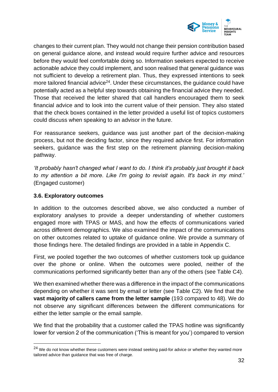

changes to their current plan. They would not change their pension contribution based on general guidance alone, and instead would require further advice and resources before they would feel comfortable doing so. Information seekers expected to receive actionable advice they could implement, and soon realised that general guidance was not sufficient to develop a retirement plan. Thus, they expressed intentions to seek more tailored financial advice<sup>24</sup>. Under these circumstances, the guidance could have potentially acted as a helpful step towards obtaining the financial advice they needed. Those that received the letter shared that call handlers encouraged them to seek financial advice and to look into the current value of their pension. They also stated that the check boxes contained in the letter provided a useful list of topics customers could discuss when speaking to an advisor in the future.

For reassurance seekers, guidance was just another part of the decision-making process, but not the deciding factor, since they required advice first. For information seekers, guidance was the first step on the retirement planning decision-making pathway.

*'It probably hasn't changed what I want to do. I think it's probably just brought it back to my attention a bit more. Like I'm going to revisit again. It's back in my mind.'* (Engaged customer)

### <span id="page-31-0"></span>**3.6. Exploratory outcomes**

In addition to the outcomes described above, we also conducted a number of exploratory analyses to provide a deeper understanding of whether customers engaged more with TPAS or MAS, and how the effects of communications varied across different demographics. We also examined the impact of the communications on other outcomes related to uptake of guidance online. We provide a summary of those findings here. The detailed findings are provided in a table in Appendix C.

First, we pooled together the two outcomes of whether customers took up guidance over the phone or online. When the outcomes were pooled, neither of the communications performed significantly better than any of the others (see Table C4).

We then examined whether there was a difference in the impact of the communications depending on whether it was sent by email or letter (see Table C2). We find that the **vast majority of callers came from the letter sample** (193 compared to 48). We do not observe any significant differences between the different communications for either the letter sample or the email sample.

We find that the probability that a customer called the TPAS hotline was significantly lower for version 2 of the communication ('This is meant for you') compared to version

<sup>&</sup>lt;sup>24</sup> We do not know whether these customers were instead seeking paid-for advice or whether they wanted more tailored advice than guidance that was free of charge.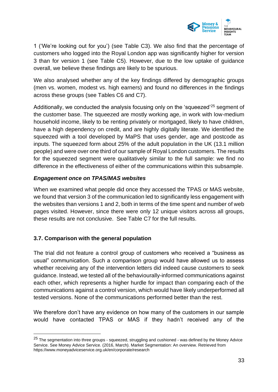

1 ('We're looking out for you') (see Table C3). We also find that the percentage of customers who logged into the Royal London app was significantly higher for version 3 than for version 1 (see Table C5). However, due to the low uptake of guidance overall, we believe these findings are likely to be spurious.

We also analysed whether any of the key findings differed by demographic groups (men vs. women, modest vs. high earners) and found no differences in the findings across these groups (see Tables C6 and C7).

Additionally, we conducted the analysis focusing only on the 'squeezed'<sup>25</sup> segment of the customer base. The squeezed are mostly working age, in work with low-medium household income, likely to be renting privately or mortgaged, likely to have children, have a high dependency on credit, and are highly digitally literate. We identified the squeezed with a tool developed by MaPS that uses gender, age and postcode as inputs. The squeezed form about 25% of the adult population in the UK (13.1 million people) and were over one third of our sample of Royal London customers. The results for the squeezed segment were qualitatively similar to the full sample: we find no difference in the effectiveness of either of the communications within this subsample.

#### *Engagement once on TPAS/MAS websites*

When we examined what people did once they accessed the TPAS or MAS website, we found that version 3 of the communication led to significantly less engagement with the websites than versions 1 and 2, both in terms of the time spent and number of web pages visited. However, since there were only 12 unique visitors across all groups, these results are not conclusive. See Table C7 for the full results.

# <span id="page-32-0"></span>**3.7. Comparison with the general population**

The trial did not feature a control group of customers who received a "business as usual" communication. Such a comparison group would have allowed us to assess whether receiving any of the intervention letters did indeed cause customers to seek guidance. Instead, we tested all of the behaviourally-informed communications against each other, which represents a higher hurdle for impact than comparing each of the communications against a control version, which would have likely underperformed all tested versions. None of the communications performed better than the rest.

We therefore don't have any evidence on how many of the customers in our sample would have contacted TPAS or MAS if they hadn't received any of the

<sup>&</sup>lt;sup>25</sup> The segmentation into three groups - squeezed, struggling and cushioned - was defined by the Money Advice Service. See Money Advice Service. (2016, March). Market Segmentation: An overview. Retrieved from https://www.moneyadviceservice.org.uk/en/corporate/research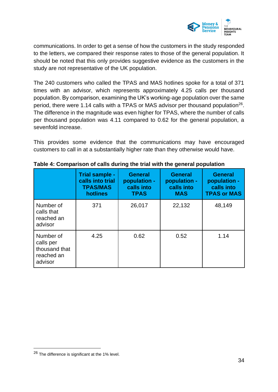

communications. In order to get a sense of how the customers in the study responded to the letters, we compared their response rates to those of the general population. It should be noted that this only provides suggestive evidence as the customers in the study are not representative of the UK population.

The 240 customers who called the TPAS and MAS hotlines spoke for a total of 371 times with an advisor, which represents approximately 4.25 calls per thousand population. By comparison, examining the UK's working-age population over the same period, there were 1.14 calls with a TPAS or MAS advisor per thousand population<sup>26</sup>. The difference in the magnitude was even higher for TPAS, where the number of calls per thousand population was 4.11 compared to 0.62 for the general population, a sevenfold increase.

This provides some evidence that the communications may have encouraged customers to call in at a substantially higher rate than they otherwise would have.

|                                                                  | Trial sample -<br>calls into trial<br><b>TPAS/MAS</b><br>hotlines | <b>General</b><br>population -<br>calls into<br><b>TPAS</b> | <b>General</b><br>population -<br>calls into<br><b>MAS</b> | <b>General</b><br>population -<br>calls into<br><b>TPAS or MAS</b> |
|------------------------------------------------------------------|-------------------------------------------------------------------|-------------------------------------------------------------|------------------------------------------------------------|--------------------------------------------------------------------|
| Number of<br>calls that<br>reached an<br>advisor                 | 371                                                               | 26,017                                                      | 22,132                                                     | 48,149                                                             |
| Number of<br>calls per<br>thousand that<br>reached an<br>advisor | 4.25                                                              | 0.62                                                        | 0.52                                                       | 1.14                                                               |

|  | Table 4: Comparison of calls during the trial with the general population |
|--|---------------------------------------------------------------------------|
|--|---------------------------------------------------------------------------|

<sup>26</sup> The difference is significant at the 1% level.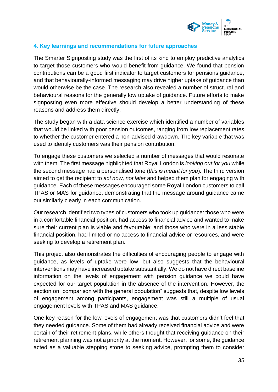

### <span id="page-34-0"></span>**4. Key learnings and recommendations for future approaches**

The Smarter Signposting study was the first of its kind to employ predictive analytics to target those customers who would benefit from guidance. We found that pension contributions can be a good first indicator to target customers for pensions guidance, and that behaviourally-informed messaging may drive higher uptake of guidance than would otherwise be the case. The research also revealed a number of structural and behavioural reasons for the generally low uptake of guidance. Future efforts to make signposting even more effective should develop a better understanding of these reasons and address them directly.

The study began with a data science exercise which identified a number of variables that would be linked with poor pension outcomes, ranging from low replacement rates to whether the customer entered a non-advised drawdown. The key variable that was used to identify customers was their pension contribution.

To engage these customers we selected a number of messages that would resonate with them. The first message highlighted that Royal London is *looking out for you* while the second message had a personalised tone (*this is meant for you*)*.* The third version aimed to get the recipient to *act now, not later* and helped them plan for engaging with guidance. Each of these messages encouraged some Royal London customers to call TPAS or MAS for guidance, demonstrating that the message around guidance came out similarly clearly in each communication.

Our research identified two types of customers who took up guidance: those who were in a comfortable financial position, had access to financial advice and wanted to make sure their current plan is viable and favourable; and those who were in a less stable financial position, had limited or no access to financial advice or resources, and were seeking to develop a retirement plan.

This project also demonstrates the difficulties of encouraging people to engage with guidance, as levels of uptake were low, but also suggests that the behavioural interventions may have increased uptake substantially. We do not have direct baseline information on the levels of engagement with pension guidance we could have expected for our target population in the absence of the intervention. However, the section on "comparison with the general population" suggests that, despite low levels of engagement among participants, engagement was still a multiple of usual engagement levels with TPAS and MAS guidance.

One key reason for the low levels of engagement was that customers didn't feel that they needed guidance. Some of them had already received financial advice and were certain of their retirement plans, while others thought that receiving guidance on their retirement planning was not a priority at the moment. However, for some, the guidance acted as a valuable stepping stone to seeking advice, prompting them to consider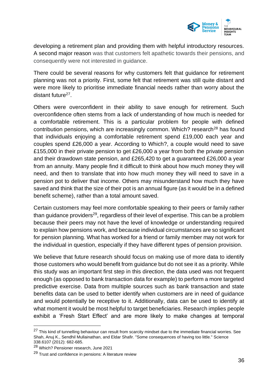

developing a retirement plan and providing them with helpful introductory resources. A second major reason was that customers felt apathetic towards their pensions, and consequently were not interested in guidance.

There could be several reasons for why customers felt that guidance for retirement planning was not a priority. First, some felt that retirement was still quite distant and were more likely to prioritise immediate financial needs rather than worry about the distant future<sup>27</sup>.

Others were overconfident in their ability to save enough for retirement. Such overconfidence often stems from a lack of understanding of how much is needed for a comfortable retirement. This is a particular problem for people with defined contribution pensions, which are increasingly common. Which? research<sup>28</sup> has found that individuals enjoying a comfortable retirement spend £19,000 each year and couples spend £26,000 a year. According to Which?, a couple would need to save £155,000 in their private pension to get £26,000 a year from both the private pension and their drawdown state pension, and £265,420 to get a guaranteed £26,000 a year from an annuity. Many people find it difficult to think about how much money they will need, and then to translate that into how much money they will need to save in a pension pot to deliver that income. Others may misunderstand how much they have saved and think that the size of their pot is an annual figure (as it would be in a defined benefit scheme), rather than a total amount saved.

Certain customers may feel more comfortable speaking to their peers or family rather than guidance providers<sup>29</sup>, regardless of their level of expertise. This can be a problem because their peers may not have the level of knowledge or understanding required to explain how pensions work, and because individual circumstances are so significant for pension planning. What has worked for a friend or family member may not work for the individual in question, especially if they have different types of pension provision.

We believe that future research should focus on making use of more data to identify those customers who would benefit from guidance but do not see it as a priority. While this study was an important first step in this direction, the data used was not frequent enough (as opposed to bank transaction data for example) to perform a more targeted predictive exercise. Data from multiple sources such as bank transaction and state benefits data can be used to better identify when customers are in need of guidance and would potentially be receptive to it. Additionally, data can be used to identify at what moment it would be most helpful to target beneficiaries. Research implies people exhibit a 'Fresh Start Effect' and are more likely to make changes at temporal

<sup>&</sup>lt;sup>27</sup> This kind of tunnelling behaviour can result from scarcity mindset due to the immediate financial worries. See Shah, Anuj K., Sendhil Mullainathan, and Eldar Shafir. "Some consequences of having too little." Science 338.6107 (2012): 682-685.

<sup>28</sup> [Which? Pensioner research, June 2021](https://www.which.co.uk/news/2021/06/the-secret-to-a-happy-retirement-26000-per-year-which-research-reveals/)

<sup>29</sup> [Trust and confidence in pensions: A literature review](https://assets.publishing.service.gov.uk/government/uploads/system/uploads/attachment_data/file/214405/WP108.pdf)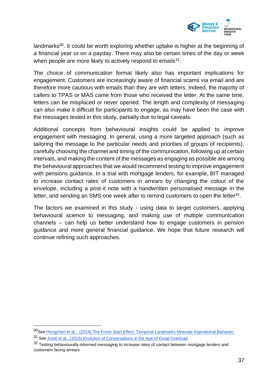

landmarks<sup>30</sup>. It could be worth exploring whether uptake is higher at the beginning of a financial year or on a payday. There may also be certain times of the day or week when people are more likely to actively respond to emails $31$ .

The choice of communication format likely also has important implications for engagement. Customers are increasingly aware of financial scams via email and are therefore more cautious with emails than they are with letters. Indeed, the majority of callers to TPAS or MAS came from those who received the letter. At the same time, letters can be misplaced or never opened. The length and complexity of messaging can also make it difficult for participants to engage, as may have been the case with the messages tested in this study, partially due to legal caveats.

Additional concepts from behavioural insights could be applied to improve engagement with messaging. In general, using a more targeted approach (such as tailoring the message to the particular needs and priorities of groups of recipients), carefully choosing the channel and timing of the communication, following up at certain intervals, and making the content of the messages as engaging as possible are among the behavioural approaches that we would recommend testing to improve engagement with pensions guidance. In a trial with mortgage lenders, for example, BIT managed to increase contact rates of customers in arrears by changing the colour of the envelope, including a post-it note with a handwritten personalised message in the letter, and sending an SMS one week after to remind customers to open the letter<sup>32</sup>.

The factors we examined in this study - using data to target customers, applying behavioural science to messaging, and making use of multiple communication channels – can help us better understand how to engage customers in pension guidance and more general financial guidance. We hope that future research will continue refining such approaches.

<sup>30</sup>Se[e Hengchen et al., \(2014\) The Fresh Start Effect: Temporal Landmarks Motivate Aspirational Behavior.](https://faculty.wharton.upenn.edu/wp-content/uploads/2014/06/Dai_Fresh_Start_2014_Mgmt_Sci.pdf)

<sup>31</sup> See [Kooti et al., \(2015\) Evolution of Conversations in the Age of Email Overload](https://arxiv.org/abs/1504.00704)

<sup>32</sup> Testing behaviourally-informed messaging to increase rates of contact between mortgage lenders and [customers facing arrears](https://www.bi.team/wp-content/uploads/2019/02/20180704-BIT-Final-Report-R1.pdf)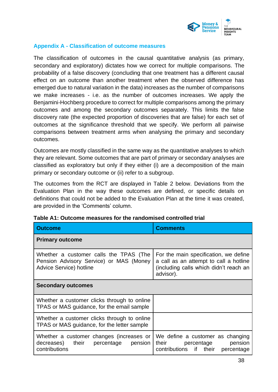

### **Appendix A - Classification of outcome measures**

The classification of outcomes in the causal quantitative analysis (as primary, secondary and exploratory) dictates how we correct for multiple comparisons. The probability of a false discovery (concluding that one treatment has a different causal effect on an outcome than another treatment when the observed difference has emerged due to natural variation in the data) increases as the number of comparisons we make increases - i.e. as the number of outcomes increases. We apply the Benjamini-Hochberg procedure to correct for multiple comparisons among the primary outcomes and among the secondary outcomes separately. This limits the false discovery rate (the expected proportion of discoveries that are false) for each set of outcomes at the significance threshold that we specify. We perform all pairwise comparisons between treatment arms when analysing the primary and secondary outcomes.

Outcomes are mostly classified in the same way as the quantitative analyses to which they are relevant. Some outcomes that are part of primary or secondary analyses are classified as exploratory but only if they either (i) are a decomposition of the main primary or secondary outcome or (ii) refer to a subgroup.

The outcomes from the RCT are displayed in Table 2 below. Deviations from the Evaluation Plan in the way these outcomes are defined, or specific details on definitions that could not be added to the Evaluation Plan at the time it was created, are provided in the 'Comments' column.

| <b>Outcome</b>                                                                                               | <b>Comments</b>                                                                                                                        |
|--------------------------------------------------------------------------------------------------------------|----------------------------------------------------------------------------------------------------------------------------------------|
| <b>Primary outcome</b>                                                                                       |                                                                                                                                        |
| Whether a customer calls the TPAS (The<br>Pension Advisory Service) or MAS (Money<br>Advice Service) hotline | For the main specification, we define<br>a call as an attempt to call a hotline<br>(including calls which didn't reach an<br>advisor). |
| <b>Secondary outcomes</b>                                                                                    |                                                                                                                                        |
| Whether a customer clicks through to online<br>TPAS or MAS guidance, for the email sample                    |                                                                                                                                        |
| Whether a customer clicks through to online<br>TPAS or MAS guidance, for the letter sample                   |                                                                                                                                        |
| Whether a customer changes (increases or<br>decreases) their percentage pension<br>contributions             | We define a customer as changing<br>pension<br>their<br>percentage<br>contributions if their percentage                                |

|  | Table A1: Outcome measures for the randomised controlled trial |
|--|----------------------------------------------------------------|
|--|----------------------------------------------------------------|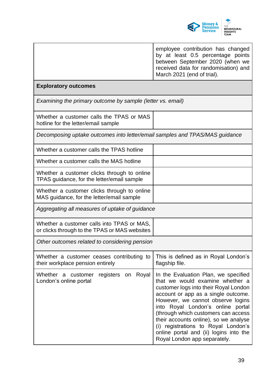

|                                                                                             | employee contribution has changed<br>by at least 0.5 percentage points<br>between September 2020 (when we<br>received data for randomisation) and<br>March 2021 (end of trial).                                                                                                                                                                                                                                                    |
|---------------------------------------------------------------------------------------------|------------------------------------------------------------------------------------------------------------------------------------------------------------------------------------------------------------------------------------------------------------------------------------------------------------------------------------------------------------------------------------------------------------------------------------|
| <b>Exploratory outcomes</b>                                                                 |                                                                                                                                                                                                                                                                                                                                                                                                                                    |
| Examining the primary outcome by sample (letter vs. email)                                  |                                                                                                                                                                                                                                                                                                                                                                                                                                    |
| Whether a customer calls the TPAS or MAS<br>hotline for the letter/email sample             |                                                                                                                                                                                                                                                                                                                                                                                                                                    |
| Decomposing uptake outcomes into letter/email samples and TPAS/MAS guidance                 |                                                                                                                                                                                                                                                                                                                                                                                                                                    |
| Whether a customer calls the TPAS hotline                                                   |                                                                                                                                                                                                                                                                                                                                                                                                                                    |
| Whether a customer calls the MAS hotline                                                    |                                                                                                                                                                                                                                                                                                                                                                                                                                    |
| Whether a customer clicks through to online<br>TPAS guidance, for the letter/email sample   |                                                                                                                                                                                                                                                                                                                                                                                                                                    |
| Whether a customer clicks through to online<br>MAS guidance, for the letter/email sample    |                                                                                                                                                                                                                                                                                                                                                                                                                                    |
| Aggregating all measures of uptake of guidance                                              |                                                                                                                                                                                                                                                                                                                                                                                                                                    |
| Whether a customer calls into TPAS or MAS,<br>or clicks through to the TPAS or MAS websites |                                                                                                                                                                                                                                                                                                                                                                                                                                    |
| Other outcomes related to considering pension                                               |                                                                                                                                                                                                                                                                                                                                                                                                                                    |
| Whether a customer ceases contributing to<br>their workplace pension entirely               | This is defined as in Royal London's<br>flagship file.                                                                                                                                                                                                                                                                                                                                                                             |
| registers on Royal<br>Whether a customer<br>London's online portal                          | In the Evaluation Plan, we specified<br>that we would examine whether a<br>customer logs into their Royal London<br>account or app as a single outcome.<br>However, we cannot observe logins<br>into Royal London's online portal<br>(through which customers can access<br>their accounts online), so we analyse<br>(i) registrations to Royal London's<br>online portal and (ii) logins into the<br>Royal London app separately. |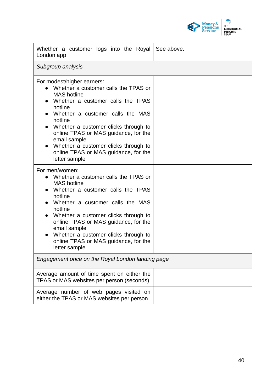

| Whether a customer logs into the Royal<br>London app                                                                                                                                                                                                                                                                                                                                      | See above. |
|-------------------------------------------------------------------------------------------------------------------------------------------------------------------------------------------------------------------------------------------------------------------------------------------------------------------------------------------------------------------------------------------|------------|
| Subgroup analysis                                                                                                                                                                                                                                                                                                                                                                         |            |
| For modest/higher earners:<br>Whether a customer calls the TPAS or<br><b>MAS</b> hotline<br>Whether a customer calls the TPAS<br>hotline<br>Whether a customer calls the MAS<br>hotline<br>Whether a customer clicks through to<br>online TPAS or MAS guidance, for the<br>email sample<br>Whether a customer clicks through to<br>online TPAS or MAS guidance, for the<br>letter sample  |            |
| For men/women:<br>Whether a customer calls the TPAS or<br>$\bullet$<br><b>MAS</b> hotline<br>Whether a customer calls the TPAS<br>hotline<br>Whether a customer calls the MAS<br>hotline<br>Whether a customer clicks through to<br>online TPAS or MAS guidance, for the<br>email sample<br>Whether a customer clicks through to<br>online TPAS or MAS guidance, for the<br>letter sample |            |
| Engagement once on the Royal London landing page                                                                                                                                                                                                                                                                                                                                          |            |
| Average amount of time spent on either the<br>TPAS or MAS websites per person (seconds)                                                                                                                                                                                                                                                                                                   |            |
| Average number of web pages visited on<br>either the TPAS or MAS websites per person                                                                                                                                                                                                                                                                                                      |            |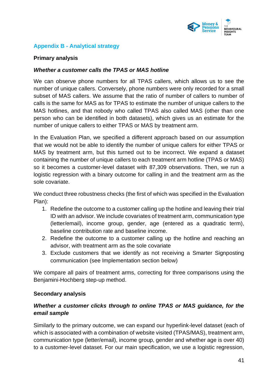

## **Appendix B - Analytical strategy**

### **Primary analysis**

### *Whether a customer calls the TPAS or MAS hotline*

We can observe phone numbers for all TPAS callers, which allows us to see the number of unique callers. Conversely, phone numbers were only recorded for a small subset of MAS callers. We assume that the ratio of number of callers to number of calls is the same for MAS as for TPAS to estimate the number of unique callers to the MAS hotlines, and that nobody who called TPAS also called MAS (other than one person who can be identified in both datasets), which gives us an estimate for the number of unique callers to either TPAS or MAS by treatment arm.

In the Evaluation Plan, we specified a different approach based on our assumption that we would not be able to identify the number of unique callers for either TPAS or MAS by treatment arm, but this turned out to be incorrect. We expand a dataset containing the number of unique callers to each treatment arm hotline (TPAS or MAS) so it becomes a customer-level dataset with 87,309 observations. Then, we run a logistic regression with a binary outcome for calling in and the treatment arm as the sole covariate.

We conduct three robustness checks (the first of which was specified in the Evaluation Plan):

- 1. Redefine the outcome to a customer calling up the hotline and leaving their trial ID with an advisor. We include covariates of treatment arm, communication type (letter/email), income group, gender, age (entered as a quadratic term), baseline contribution rate and baseline income.
- 2. Redefine the outcome to a customer calling up the hotline and reaching an advisor, with treatment arm as the sole covariate
- 3. Exclude customers that we identify as not receiving a Smarter Signposting communication (see Implementation section below)

We compare all pairs of treatment arms, correcting for three comparisons using the Benjamini-Hochberg step-up method.

### **Secondary analysis**

## *Whether a customer clicks through to online TPAS or MAS guidance, for the email sample*

Similarly to the primary outcome, we can expand our hyperlink-level dataset (each of which is associated with a combination of website visited (TPAS/MAS), treatment arm, communication type (letter/email), income group, gender and whether age is over 40) to a customer-level dataset. For our main specification, we use a logistic regression,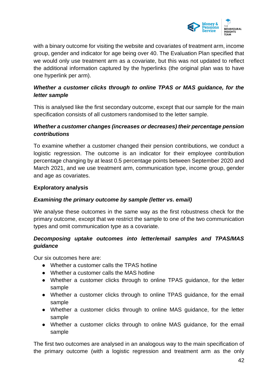

with a binary outcome for visiting the website and covariates of treatment arm, income group, gender and indicator for age being over 40. The Evaluation Plan specified that we would only use treatment arm as a covariate, but this was not updated to reflect the additional information captured by the hyperlinks (the original plan was to have one hyperlink per arm).

## *Whether a customer clicks through to online TPAS or MAS guidance, for the letter sample*

This is analysed like the first secondary outcome, except that our sample for the main specification consists of all customers randomised to the letter sample.

## *Whether a customer changes (increases or decreases) their percentage pension contributions*

To examine whether a customer changed their pension contributions, we conduct a logistic regression. The outcome is an indicator for their employee contribution percentage changing by at least 0.5 percentage points between September 2020 and March 2021, and we use treatment arm, communication type, income group, gender and age as covariates.

## **Exploratory analysis**

## *Examining the primary outcome by sample (letter vs. email)*

We analyse these outcomes in the same way as the first robustness check for the primary outcome, except that we restrict the sample to one of the two communication types and omit communication type as a covariate.

## *Decomposing uptake outcomes into letter/email samples and TPAS/MAS guidance*

Our six outcomes here are:

- Whether a customer calls the TPAS hotline
- Whether a customer calls the MAS hotline
- Whether a customer clicks through to online TPAS guidance, for the letter sample
- Whether a customer clicks through to online TPAS guidance, for the email sample
- Whether a customer clicks through to online MAS guidance, for the letter sample
- Whether a customer clicks through to online MAS guidance, for the email sample

The first two outcomes are analysed in an analogous way to the main specification of the primary outcome (with a logistic regression and treatment arm as the only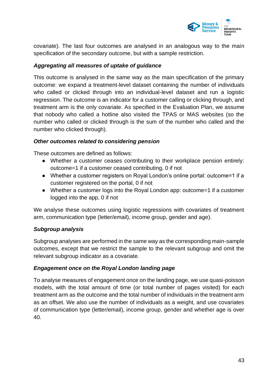

covariate). The last four outcomes are analysed in an analogous way to the main specification of the secondary outcome, but with a sample restriction.

## *Aggregating all measures of uptake of guidance*

This outcome is analysed in the same way as the main specification of the primary outcome: we expand a treatment-level dataset containing the number of individuals who called or clicked through into an individual-level dataset and run a logistic regression. The outcome is an indicator for a customer calling or clicking through, and treatment arm is the only covariate. As specified in the Evaluation Plan, we assume that nobody who called a hotline also visited the TPAS or MAS websites (so the number who called or clicked through is the sum of the number who called and the number who clicked through).

### *Other outcomes related to considering pension*

These outcomes are defined as follows:

- Whether a customer ceases contributing to their workplace pension entirely: outcome=1 if a customer ceased contributing, 0 if not
- Whether a customer registers on Royal London's online portal: outcome=1 if a customer registered on the portal, 0 if not
- Whether a customer logs into the Royal London app: outcome=1 if a customer logged into the app, 0 if not

We analyse these outcomes using logistic regressions with covariates of treatment arm, communication type (letter/email), income group, gender and age).

### *Subgroup analysis*

Subgroup analyses are performed in the same way as the corresponding main-sample outcomes, except that we restrict the sample to the relevant subgroup and omit the relevant subgroup indicator as a covariate.

## *Engagement once on the Royal London landing page*

To analyse measures of engagement once on the landing page, we use quasi-poisson models, with the total amount of time (or total number of pages visited) for each treatment arm as the outcome and the total number of individuals in the treatment arm as an offset. We also use the number of individuals as a weight, and use covariates of communication type (letter/email), income group, gender and whether age is over 40.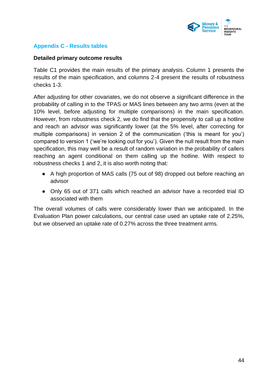

## **Appendix C - Results tables**

### **Detailed primary outcome results**

Table C1 provides the main results of the primary analysis. Column 1 presents the results of the main specification, and columns 2-4 present the results of robustness checks 1-3.

After adjusting for other covariates, we do not observe a significant difference in the probability of calling in to the TPAS or MAS lines between any two arms (even at the 10% level, before adjusting for multiple comparisons) in the main specification. However, from robustness check 2, we do find that the propensity to call up a hotline and reach an advisor was significantly lower (at the 5% level, after correcting for multiple comparisons) in version 2 of the communication ('this is meant for you') compared to version 1 ('we're looking out for you'). Given the null result from the main specification, this may well be a result of random variation in the probability of callers reaching an agent conditional on them calling up the hotline. With respect to robustness checks 1 and 2, it is also worth noting that:

- A high proportion of MAS calls (75 out of 98) dropped out before reaching an advisor
- Only 65 out of 371 calls which reached an advisor have a recorded trial ID associated with them

The overall volumes of calls were considerably lower than we anticipated. In the Evaluation Plan power calculations, our central case used an uptake rate of 2.25%, but we observed an uptake rate of 0.27% across the three treatment arms.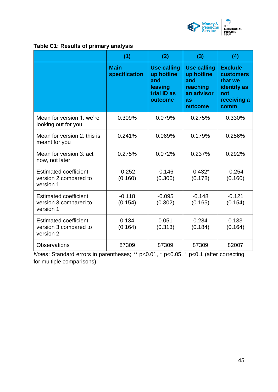

|  |  | Table C1: Results of primary analysis |  |
|--|--|---------------------------------------|--|
|  |  |                                       |  |

|                                                                     | (1)                          | (2)                                                                          | (3)                                                                                | (4)                                                                                               |
|---------------------------------------------------------------------|------------------------------|------------------------------------------------------------------------------|------------------------------------------------------------------------------------|---------------------------------------------------------------------------------------------------|
|                                                                     | <b>Main</b><br>specification | <b>Use calling</b><br>up hotline<br>and<br>leaving<br>trial ID as<br>outcome | <b>Use calling</b><br>up hotline<br>and<br>reaching<br>an advisor<br>as<br>outcome | <b>Exclude</b><br><b>customers</b><br>that we<br><b>identify</b> as<br>not<br>receiving a<br>comm |
| Mean for version 1: we're<br>looking out for you                    | 0.309%                       | 0.079%                                                                       | 0.275%                                                                             | 0.330%                                                                                            |
| Mean for version 2: this is<br>meant for you                        | 0.241%                       | 0.069%                                                                       | 0.179%                                                                             | 0.256%                                                                                            |
| Mean for version 3: act<br>now, not later                           | 0.275%                       | 0.072%                                                                       | 0.237%                                                                             | 0.292%                                                                                            |
| <b>Estimated coefficient:</b><br>version 2 compared to<br>version 1 | $-0.252$<br>(0.160)          | $-0.146$<br>(0.306)                                                          | $-0.432*$<br>(0.178)                                                               | $-0.254$<br>(0.160)                                                                               |
| <b>Estimated coefficient:</b><br>version 3 compared to<br>version 1 | $-0.118$<br>(0.154)          | $-0.095$<br>(0.302)                                                          | $-0.148$<br>(0.165)                                                                | $-0.121$<br>(0.154)                                                                               |
| <b>Estimated coefficient:</b><br>version 3 compared to<br>version 2 | 0.134<br>(0.164)             | 0.051<br>(0.313)                                                             | 0.284<br>(0.184)                                                                   | 0.133<br>(0.164)                                                                                  |
| <b>Observations</b>                                                 | 87309                        | 87309                                                                        | 87309                                                                              | 82007                                                                                             |

*Notes*: Standard errors in parentheses; \*\* p<0.01, \* p<0.05, <sup>+</sup> p<0.1 (after correcting for multiple comparisons)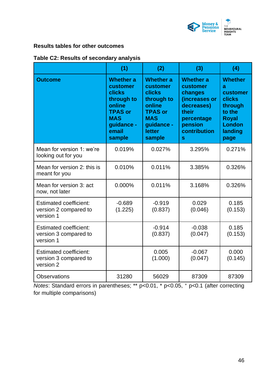

## **Results tables for other outcomes**

| Table C2: Results of secondary analysis |  |  |  |
|-----------------------------------------|--|--|--|
|-----------------------------------------|--|--|--|

|                                                                     | (1)                                                                                                                                    | (2)                                                                                                                                            | (3)                                                                                                                           | (4)                                                                                                         |
|---------------------------------------------------------------------|----------------------------------------------------------------------------------------------------------------------------------------|------------------------------------------------------------------------------------------------------------------------------------------------|-------------------------------------------------------------------------------------------------------------------------------|-------------------------------------------------------------------------------------------------------------|
| <b>Outcome</b>                                                      | <b>Whether a</b><br>customer<br><b>clicks</b><br>through to<br>online<br><b>TPAS or</b><br><b>MAS</b><br>guidance -<br>email<br>sample | <b>Whether a</b><br>customer<br><b>clicks</b><br>through to<br>online<br><b>TPAS or</b><br><b>MAS</b><br>guidance -<br><b>letter</b><br>sample | <b>Whether a</b><br>customer<br>changes<br>(increases or<br>decreases)<br>their<br>percentage<br>pension<br>contribution<br>S | <b>Whether</b><br>a<br>customer<br>clicks<br>through<br>to the<br><b>Royal</b><br>London<br>landing<br>page |
| Mean for version 1: we're<br>looking out for you                    | 0.019%                                                                                                                                 | 0.027%                                                                                                                                         | 3.295%                                                                                                                        | 0.271%                                                                                                      |
| Mean for version 2: this is<br>meant for you                        | 0.010%                                                                                                                                 | 0.011%                                                                                                                                         | 3.385%                                                                                                                        | 0.326%                                                                                                      |
| Mean for version 3: act<br>now, not later                           | 0.000%                                                                                                                                 | 0.011%                                                                                                                                         | 3.168%                                                                                                                        | 0.326%                                                                                                      |
| <b>Estimated coefficient:</b><br>version 2 compared to<br>version 1 | $-0.689$<br>(1.225)                                                                                                                    | $-0.919$<br>(0.837)                                                                                                                            | 0.029<br>(0.046)                                                                                                              | 0.185<br>(0.153)                                                                                            |
| <b>Estimated coefficient:</b><br>version 3 compared to<br>version 1 |                                                                                                                                        | $-0.914$<br>(0.837)                                                                                                                            | $-0.038$<br>(0.047)                                                                                                           | 0.185<br>(0.153)                                                                                            |
| <b>Estimated coefficient:</b><br>version 3 compared to<br>version 2 |                                                                                                                                        | 0.005<br>(1.000)                                                                                                                               | $-0.067$<br>(0.047)                                                                                                           | 0.000<br>(0.145)                                                                                            |
| <b>Observations</b>                                                 | 31280                                                                                                                                  | 56029                                                                                                                                          | 87309                                                                                                                         | 87309                                                                                                       |

*Notes*: Standard errors in parentheses; \*\* p<0.01, \* p<0.05, <sup>+</sup> p<0.1 (after correcting for multiple comparisons)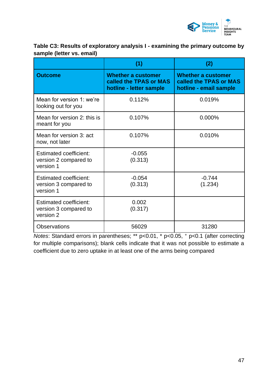

## **Table C3: Results of exploratory analysis I - examining the primary outcome by sample (letter vs. email)**

|                                                                     | (1)                                                                            | (2)                                                                           |
|---------------------------------------------------------------------|--------------------------------------------------------------------------------|-------------------------------------------------------------------------------|
| <b>Outcome</b>                                                      | <b>Whether a customer</b><br>called the TPAS or MAS<br>hotline - letter sample | <b>Whether a customer</b><br>called the TPAS or MAS<br>hotline - email sample |
| Mean for version 1: we're<br>looking out for you                    | 0.112%                                                                         | 0.019%                                                                        |
| Mean for version 2: this is<br>meant for you                        | 0.107%                                                                         | 0.000%                                                                        |
| Mean for version 3: act<br>now, not later                           | 0.107%                                                                         | 0.010%                                                                        |
| <b>Estimated coefficient:</b><br>version 2 compared to<br>version 1 | $-0.055$<br>(0.313)                                                            |                                                                               |
| <b>Estimated coefficient:</b><br>version 3 compared to<br>version 1 | $-0.054$<br>(0.313)                                                            | $-0.744$<br>(1.234)                                                           |
| <b>Estimated coefficient:</b><br>version 3 compared to<br>version 2 | 0.002<br>(0.317)                                                               |                                                                               |
| <b>Observations</b>                                                 | 56029                                                                          | 31280                                                                         |

*Notes*: Standard errors in parentheses; \*\* p<0.01, \* p<0.05, + p<0.1 (after correcting for multiple comparisons); blank cells indicate that it was not possible to estimate a coefficient due to zero uptake in at least one of the arms being compared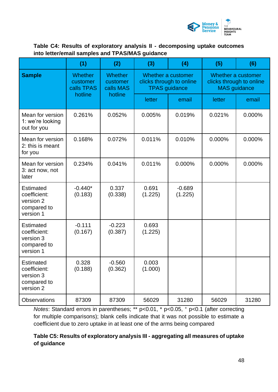

## **Table C4: Results of exploratory analysis II - decomposing uptake outcomes into letter/email samples and TPAS/MAS guidance**

|                                                                           | (1)                                      | (2)                                     | (3)                                                                    | (4)                 | (5)                                                                   | (6)    |
|---------------------------------------------------------------------------|------------------------------------------|-----------------------------------------|------------------------------------------------------------------------|---------------------|-----------------------------------------------------------------------|--------|
| <b>Sample</b>                                                             | <b>Whether</b><br>customer<br>calls TPAS | <b>Whether</b><br>customer<br>calls MAS | Whether a customer<br>clicks through to online<br><b>TPAS</b> guidance |                     | Whether a customer<br>clicks through to online<br><b>MAS</b> guidance |        |
|                                                                           | hotline                                  | hotline                                 | letter                                                                 | email               | letter                                                                | email  |
| Mean for version<br>1: we're looking<br>out for you                       | 0.261%                                   | 0.052%                                  | 0.005%                                                                 | 0.019%              | 0.021%                                                                | 0.000% |
| Mean for version<br>2: this is meant<br>for you                           | 0.168%                                   | 0.072%                                  | 0.011%                                                                 | 0.010%              | 0.000%                                                                | 0.000% |
| Mean for version<br>3: act now, not<br>later                              | 0.234%                                   | 0.041%                                  | 0.011%                                                                 | 0.000%              | 0.000%                                                                | 0.000% |
| Estimated<br>coefficient:<br>version 2<br>compared to<br>version 1        | $-0.440*$<br>(0.183)                     | 0.337<br>(0.338)                        | 0.691<br>(1.225)                                                       | $-0.689$<br>(1.225) |                                                                       |        |
| <b>Estimated</b><br>coefficient:<br>version 3<br>compared to<br>version 1 | $-0.111$<br>(0.167)                      | $-0.223$<br>(0.387)                     | 0.693<br>(1.225)                                                       |                     |                                                                       |        |
| <b>Estimated</b><br>coefficient:<br>version 3<br>compared to<br>version 2 | 0.328<br>(0.188)                         | $-0.560$<br>(0.362)                     | 0.003<br>(1.000)                                                       |                     |                                                                       |        |
| Observations                                                              | 87309                                    | 87309                                   | 56029                                                                  | 31280               | 56029                                                                 | 31280  |

*Notes*: Standard errors in parentheses; \*\* p<0.01, \* p<0.05, + p<0.1 (after correcting for multiple comparisons); blank cells indicate that it was not possible to estimate a coefficient due to zero uptake in at least one of the arms being compared

## **Table C5: Results of exploratory analysis III - aggregating all measures of uptake of guidance**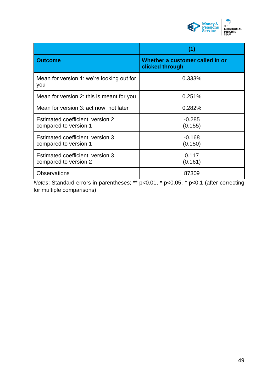

|                                                           | (1)                                                |
|-----------------------------------------------------------|----------------------------------------------------|
| <b>Outcome</b>                                            | Whether a customer called in or<br>clicked through |
| Mean for version 1: we're looking out for<br>you          | 0.333%                                             |
| Mean for version 2: this is meant for you                 | 0.251%                                             |
| Mean for version 3: act now, not later                    | 0.282%                                             |
| Estimated coefficient: version 2<br>compared to version 1 | $-0.285$<br>(0.155)                                |
| Estimated coefficient: version 3<br>compared to version 1 | $-0.168$<br>(0.150)                                |
| Estimated coefficient: version 3<br>compared to version 2 | 0.117<br>(0.161)                                   |
| <b>Observations</b>                                       | 87309                                              |

*Notes*: Standard errors in parentheses; \*\* p<0.01, \* p<0.05, <sup>+</sup> p<0.1 (after correcting for multiple comparisons)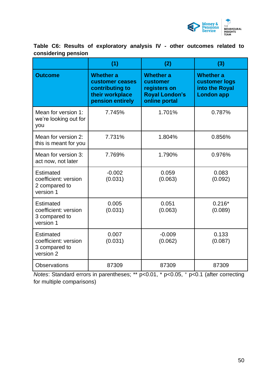

**Table C6: Results of exploratory analysis IV - other outcomes related to considering pension**

|                                                                        | (1)                                                                                           | (2)                                                                                    | (3)                                                                      |
|------------------------------------------------------------------------|-----------------------------------------------------------------------------------------------|----------------------------------------------------------------------------------------|--------------------------------------------------------------------------|
| <b>Outcome</b>                                                         | <b>Whether a</b><br>customer ceases<br>contributing to<br>their workplace<br>pension entirely | <b>Whether a</b><br>customer<br>registers on<br><b>Royal London's</b><br>online portal | <b>Whether a</b><br>customer logs<br>into the Royal<br><b>London app</b> |
| Mean for version 1:<br>we're looking out for<br>you                    | 7.745%                                                                                        | 1.701%                                                                                 | 0.787%                                                                   |
| Mean for version 2:<br>this is meant for you                           | 7.731%                                                                                        | 1.804%                                                                                 | 0.856%                                                                   |
| Mean for version 3:<br>act now, not later                              | 7.769%                                                                                        | 1.790%                                                                                 | 0.976%                                                                   |
| Estimated<br>coefficient: version<br>2 compared to<br>version 1        | $-0.002$<br>(0.031)                                                                           | 0.059<br>(0.063)                                                                       | 0.083<br>(0.092)                                                         |
| Estimated<br>coefficient: version<br>3 compared to<br>version 1        | 0.005<br>(0.031)                                                                              | 0.051<br>(0.063)                                                                       | $0.216*$<br>(0.089)                                                      |
| <b>Estimated</b><br>coefficient: version<br>3 compared to<br>version 2 | 0.007<br>(0.031)                                                                              | $-0.009$<br>(0.062)                                                                    | 0.133<br>(0.087)                                                         |
| <b>Observations</b>                                                    | 87309                                                                                         | 87309                                                                                  | 87309                                                                    |

*Notes*: Standard errors in parentheses; \*\* p<0.01, \* p<0.05, + p<0.1 (after correcting for multiple comparisons)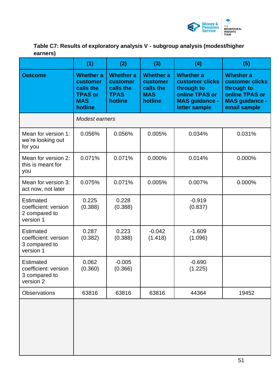

**Table C7: Results of exploratory analysis V - subgroup analysis (modest/higher earners)**

|                                                                        | (1)                                                                                  | (2)                                                                 | (3)                                                                | (4)                                                                                                           | (5)                                                                                                          |
|------------------------------------------------------------------------|--------------------------------------------------------------------------------------|---------------------------------------------------------------------|--------------------------------------------------------------------|---------------------------------------------------------------------------------------------------------------|--------------------------------------------------------------------------------------------------------------|
| <b>Outcome</b>                                                         | <b>Whether a</b><br>customer<br>calls the<br><b>TPAS or</b><br><b>MAS</b><br>hotline | <b>Whether a</b><br>customer<br>calls the<br><b>TPAS</b><br>hotline | <b>Whether a</b><br>customer<br>calls the<br><b>MAS</b><br>hotline | <b>Whether a</b><br>customer clicks<br>through to<br>online TPAS or<br><b>MAS guidance -</b><br>letter sample | <b>Whether a</b><br>customer clicks<br>through to<br>online TPAS or<br><b>MAS guidance -</b><br>email sample |
|                                                                        | Modest earners                                                                       |                                                                     |                                                                    |                                                                                                               |                                                                                                              |
| Mean for version 1:<br>we're looking out<br>for you                    | 0.056%                                                                               | 0.056%                                                              | 0.005%                                                             | 0.034%                                                                                                        | 0.031%                                                                                                       |
| Mean for version 2:<br>this is meant for<br>you                        | 0.071%                                                                               | 0.071%                                                              | $0.000\%$                                                          | 0.014%                                                                                                        | 0.000%                                                                                                       |
| Mean for version 3:<br>act now, not later                              | 0.075%                                                                               | 0.071%                                                              | 0.005%                                                             | 0.007%                                                                                                        | 0.000%                                                                                                       |
| <b>Estimated</b><br>coefficient: version<br>2 compared to<br>version 1 | 0.225<br>(0.388)                                                                     | 0.228<br>(0.388)                                                    |                                                                    | $-0.919$<br>(0.837)                                                                                           |                                                                                                              |
| <b>Estimated</b><br>coefficient: version<br>3 compared to<br>version 1 | 0.287<br>(0.382)                                                                     | 0.223<br>(0.388)                                                    | $-0.042$<br>(1.418)                                                | $-1.609$<br>(1.096)                                                                                           |                                                                                                              |
| <b>Estimated</b><br>coefficient: version<br>3 compared to<br>version 2 | 0.062<br>(0.360)                                                                     | $-0.005$<br>(0.366)                                                 |                                                                    | $-0.690$<br>(1.225)                                                                                           |                                                                                                              |
| <b>Observations</b>                                                    | 63816                                                                                | 63816                                                               | 63816                                                              | 44364                                                                                                         | 19452                                                                                                        |
|                                                                        |                                                                                      |                                                                     |                                                                    |                                                                                                               |                                                                                                              |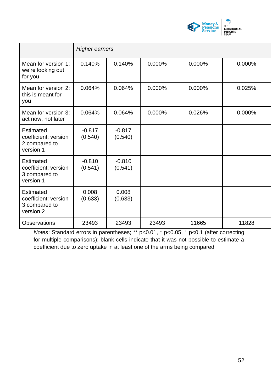

|                                                                        | <b>Higher earners</b> |                     |        |        |        |
|------------------------------------------------------------------------|-----------------------|---------------------|--------|--------|--------|
| Mean for version 1:<br>we're looking out<br>for you                    | 0.140%                | 0.140%              | 0.000% | 0.000% | 0.000% |
| Mean for version 2:<br>this is meant for<br>you                        | 0.064%                | 0.064%              | 0.000% | 0.000% | 0.025% |
| Mean for version 3:<br>act now, not later                              | 0.064%                | 0.064%              | 0.000% | 0.026% | 0.000% |
| <b>Estimated</b><br>coefficient: version<br>2 compared to<br>version 1 | $-0.817$<br>(0.540)   | $-0.817$<br>(0.540) |        |        |        |
| Estimated<br>coefficient: version<br>3 compared to<br>version 1        | $-0.810$<br>(0.541)   | $-0.810$<br>(0.541) |        |        |        |
| <b>Estimated</b><br>coefficient: version<br>3 compared to<br>version 2 | 0.008<br>(0.633)      | 0.008<br>(0.633)    |        |        |        |
| <b>Observations</b>                                                    | 23493                 | 23493               | 23493  | 11665  | 11828  |

*Notes*: Standard errors in parentheses; \*\* p<0.01, \* p<0.05, + p<0.1 (after correcting for multiple comparisons); blank cells indicate that it was not possible to estimate a coefficient due to zero uptake in at least one of the arms being compared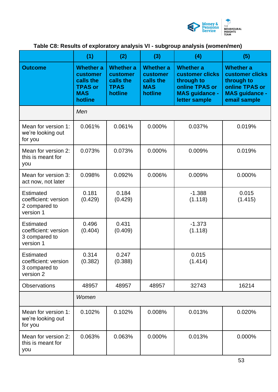

# **Table C8: Results of exploratory analysis VI - subgroup analysis (women/men)**

|                                                                        | (1)                                                                                  | (2)                                                                        | (3)                                                                       | (4)                                                                                                                  | (5)                                                                                                          |
|------------------------------------------------------------------------|--------------------------------------------------------------------------------------|----------------------------------------------------------------------------|---------------------------------------------------------------------------|----------------------------------------------------------------------------------------------------------------------|--------------------------------------------------------------------------------------------------------------|
| <b>Outcome</b>                                                         | <b>Whether a</b><br>customer<br>calls the<br><b>TPAS or</b><br><b>MAS</b><br>hotline | <b>Whether a</b><br><b>customer</b><br>calls the<br><b>TPAS</b><br>hotline | <b>Whether a</b><br><b>customer</b><br>calls the<br><b>MAS</b><br>hotline | <b>Whether a</b><br><b>customer clicks</b><br>through to<br>online TPAS or<br><b>MAS guidance -</b><br>letter sample | <b>Whether a</b><br>customer clicks<br>through to<br>online TPAS or<br><b>MAS guidance -</b><br>email sample |
|                                                                        | Men                                                                                  |                                                                            |                                                                           |                                                                                                                      |                                                                                                              |
| Mean for version 1:<br>we're looking out<br>for you                    | 0.061%                                                                               | 0.061%                                                                     | 0.000%                                                                    | 0.037%                                                                                                               | 0.019%                                                                                                       |
| Mean for version 2:<br>this is meant for<br>you                        | 0.073%                                                                               | 0.073%                                                                     | 0.000%                                                                    | 0.009%                                                                                                               | 0.019%                                                                                                       |
| Mean for version 3:<br>act now, not later                              | 0.098%                                                                               | 0.092%                                                                     | 0.006%                                                                    | 0.009%                                                                                                               | 0.000%                                                                                                       |
| <b>Estimated</b><br>coefficient: version<br>2 compared to<br>version 1 | 0.181<br>(0.429)                                                                     | 0.184<br>(0.429)                                                           |                                                                           | $-1.388$<br>(1.118)                                                                                                  | 0.015<br>(1.415)                                                                                             |
| <b>Estimated</b><br>coefficient: version<br>3 compared to<br>version 1 | 0.496<br>(0.404)                                                                     | 0.431<br>(0.409)                                                           |                                                                           | $-1.373$<br>(1.118)                                                                                                  |                                                                                                              |
| <b>Estimated</b><br>coefficient: version<br>3 compared to<br>version 2 | 0.314<br>(0.382)                                                                     | 0.247<br>(0.388)                                                           |                                                                           | 0.015<br>(1.414)                                                                                                     |                                                                                                              |
| <b>Observations</b>                                                    | 48957                                                                                | 48957                                                                      | 48957                                                                     | 32743                                                                                                                | 16214                                                                                                        |
|                                                                        | Women                                                                                |                                                                            |                                                                           |                                                                                                                      |                                                                                                              |
| Mean for version 1:<br>we're looking out<br>for you                    | 0.102%                                                                               | 0.102%                                                                     | 0.008%                                                                    | 0.013%                                                                                                               | 0.020%                                                                                                       |
| Mean for version 2:<br>this is meant for<br>you                        | 0.063%                                                                               | 0.063%                                                                     | 0.000%                                                                    | 0.013%                                                                                                               | 0.000%                                                                                                       |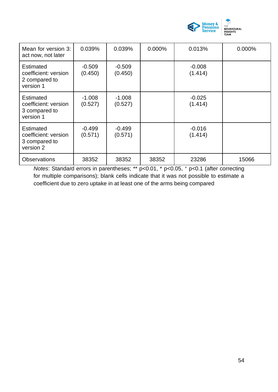

| Mean for version 3:<br>act now, not later                              | 0.039%              | 0.039%              | 0.000% | 0.013%              | 0.000% |
|------------------------------------------------------------------------|---------------------|---------------------|--------|---------------------|--------|
| <b>Estimated</b><br>coefficient: version<br>2 compared to<br>version 1 | $-0.509$<br>(0.450) | $-0.509$<br>(0.450) |        | $-0.008$<br>(1.414) |        |
| <b>Estimated</b><br>coefficient: version<br>3 compared to<br>version 1 | $-1.008$<br>(0.527) | $-1.008$<br>(0.527) |        | $-0.025$<br>(1.414) |        |
| <b>Estimated</b><br>coefficient: version<br>3 compared to<br>version 2 | $-0.499$<br>(0.571) | $-0.499$<br>(0.571) |        | $-0.016$<br>(1.414) |        |
| <b>Observations</b>                                                    | 38352               | 38352               | 38352  | 23286               | 15066  |

*Notes*: Standard errors in parentheses; \*\* p<0.01, \* p<0.05, <sup>+</sup> p<0.1 (after correcting for multiple comparisons); blank cells indicate that it was not possible to estimate a coefficient due to zero uptake in at least one of the arms being compared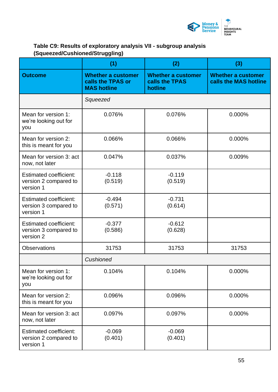

# **Table C9: Results of exploratory analysis VII - subgroup analysis (Squeezed/Cushioned/Struggling)**

|                                                                     | (1)                                                                  | (2)                                                    | (3)                                                |
|---------------------------------------------------------------------|----------------------------------------------------------------------|--------------------------------------------------------|----------------------------------------------------|
| <b>Outcome</b>                                                      | <b>Whether a customer</b><br>calls the TPAS or<br><b>MAS hotline</b> | <b>Whether a customer</b><br>calls the TPAS<br>hotline | <b>Whether a customer</b><br>calls the MAS hotline |
|                                                                     | Squeezed                                                             |                                                        |                                                    |
| Mean for version 1:<br>we're looking out for<br>you                 | 0.076%                                                               | 0.076%                                                 | 0.000%                                             |
| Mean for version 2:<br>this is meant for you                        | 0.066%                                                               | 0.066%                                                 | 0.000%                                             |
| Mean for version 3: act<br>now, not later                           | 0.047%                                                               | 0.037%                                                 | 0.009%                                             |
| <b>Estimated coefficient:</b><br>version 2 compared to<br>version 1 | $-0.118$<br>(0.519)                                                  | $-0.119$<br>(0.519)                                    |                                                    |
| <b>Estimated coefficient:</b><br>version 3 compared to<br>version 1 | $-0.494$<br>(0.571)                                                  | $-0.731$<br>(0.614)                                    |                                                    |
| <b>Estimated coefficient:</b><br>version 3 compared to<br>version 2 | $-0.377$<br>(0.586)                                                  | $-0.612$<br>(0.628)                                    |                                                    |
| <b>Observations</b>                                                 | 31753                                                                | 31753                                                  | 31753                                              |
|                                                                     | Cushioned                                                            |                                                        |                                                    |
| Mean for version 1:<br>we're looking out for<br>you                 | 0.104%                                                               | 0.104%                                                 | 0.000%                                             |
| Mean for version 2:<br>this is meant for you                        | 0.096%                                                               | 0.096%                                                 | 0.000%                                             |
| Mean for version 3: act<br>now, not later                           | 0.097%                                                               | 0.097%                                                 | 0.000%                                             |
| <b>Estimated coefficient:</b><br>version 2 compared to<br>version 1 | $-0.069$<br>(0.401)                                                  | $-0.069$<br>(0.401)                                    |                                                    |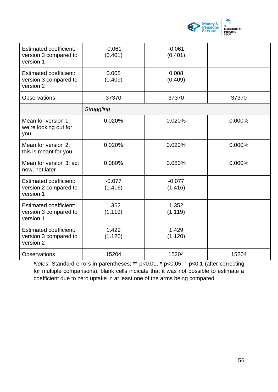

| <b>Estimated coefficient:</b><br>version 3 compared to<br>version 1 | $-0.061$<br>(0.401) | $-0.061$<br>(0.401) |        |
|---------------------------------------------------------------------|---------------------|---------------------|--------|
| Estimated coefficient:<br>version 3 compared to<br>version 2        | 0.008<br>(0.409)    | 0.008<br>(0.409)    |        |
| <b>Observations</b>                                                 | 37370               | 37370               | 37370  |
|                                                                     | Struggling          |                     |        |
| Mean for version 1:<br>we're looking out for<br>you                 | 0.020%              | 0.020%              | 0.000% |
| Mean for version 2:<br>this is meant for you                        | 0.020%              | 0.020%              | 0.000% |
| Mean for version 3: act<br>now, not later                           | 0.080%              | 0.080%              | 0.000% |
| <b>Estimated coefficient:</b><br>version 2 compared to<br>version 1 | $-0.077$<br>(1.416) | $-0.077$<br>(1.416) |        |
| <b>Estimated coefficient:</b><br>version 3 compared to<br>version 1 | 1.352<br>(1.119)    | 1.352<br>(1.119)    |        |
| <b>Estimated coefficient:</b><br>version 3 compared to<br>version 2 | 1.429<br>(1.120)    | 1.429<br>(1.120)    |        |
| <b>Observations</b>                                                 | 15204               | 15204               | 15204  |

*Notes*: Standard errors in parentheses; \*\* p<0.01, \* p<0.05, + p<0.1 (after correcting for multiple comparisons); blank cells indicate that it was not possible to estimate a coefficient due to zero uptake in at least one of the arms being compared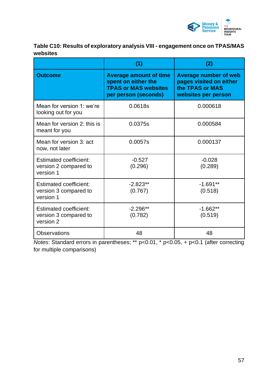

## **Table C10: Results of exploratory analysis VIII - engagement once on TPAS/MAS websites**

|                                                                     | (1)                                                                                                         | (2)                                                                                               |
|---------------------------------------------------------------------|-------------------------------------------------------------------------------------------------------------|---------------------------------------------------------------------------------------------------|
| <b>Outcome</b>                                                      | <b>Average amount of time</b><br>spent on either the<br><b>TPAS or MAS websites</b><br>per person (seconds) | <b>Average number of web</b><br>pages visited on either<br>the TPAS or MAS<br>websites per person |
| Mean for version 1: we're<br>looking out for you                    | 0.0618s                                                                                                     | 0.000618                                                                                          |
| Mean for version 2: this is<br>meant for you                        | 0.0375s                                                                                                     | 0.000584                                                                                          |
| Mean for version 3: act<br>now, not later                           | 0.0057s                                                                                                     | 0.000137                                                                                          |
| <b>Estimated coefficient:</b><br>version 2 compared to<br>version 1 | $-0.527$<br>(0.296)                                                                                         | $-0.028$<br>(0.289)                                                                               |
| <b>Estimated coefficient:</b><br>version 3 compared to<br>version 1 | $-2.823**$<br>(0.767)                                                                                       | $-1.691**$<br>(0.518)                                                                             |
| <b>Estimated coefficient:</b><br>version 3 compared to<br>version 2 | $-2.296**$<br>(0.782)                                                                                       | $-1.662**$<br>(0.519)                                                                             |
| <b>Observations</b>                                                 | 48                                                                                                          | 48                                                                                                |

*Notes*: Standard errors in parentheses; \*\* p<0.01, \* p<0.05, + p<0.1 (after correcting for multiple comparisons)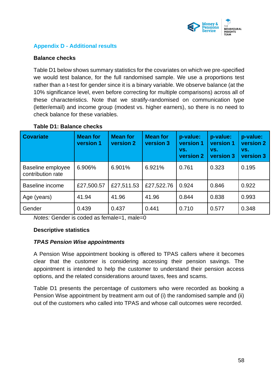

## **Appendix D - Additional results**

### **Balance checks**

Table D1 below shows summary statistics for the covariates on which we pre-specified we would test balance, for the full randomised sample. We use a proportions test rather than a t-test for gender since it is a binary variable. We observe balance (at the 10% significance level, even before correcting for multiple comparisons) across all of these characteristics. Note that we stratify-randomised on communication type (letter/email) and income group (modest vs. higher earners), so there is no need to check balance for these variables.

| <b>Covariate</b>                       | <b>Mean for</b><br>version 1 | <b>Mean for</b><br>version 2 | <b>Mean for</b><br>version 3 | p-value:<br>version 1<br>VS.<br>version 2 | p-value:<br>version 1<br>VS.<br>version 3 | p-value:<br>version 2<br>VS.<br>version 3 |
|----------------------------------------|------------------------------|------------------------------|------------------------------|-------------------------------------------|-------------------------------------------|-------------------------------------------|
| Baseline employee<br>contribution rate | 6.906%                       | 6.901%                       | 6.921%                       | 0.761                                     | 0.323                                     | 0.195                                     |
| <b>Baseline income</b>                 | £27,500.57                   | £27,511.53                   | £27,522.76                   | 0.924                                     | 0.846                                     | 0.922                                     |
| Age (years)                            | 41.94                        | 41.96                        | 41.96                        | 0.844                                     | 0.838                                     | 0.993                                     |
| Gender                                 | 0.439                        | 0.437                        | 0.441                        | 0.710                                     | 0.577                                     | 0.348                                     |

### **Table D1: Balance checks**

*Notes:* Gender is coded as female=1, male=0

### **Descriptive statistics**

### *TPAS Pension Wise appointments*

A Pension Wise appointment booking is offered to TPAS callers where it becomes clear that the customer is considering accessing their pension savings. The appointment is intended to help the customer to understand their pension access options, and the related considerations around taxes, fees and scams.

Table D1 presents the percentage of customers who were recorded as booking a Pension Wise appointment by treatment arm out of (i) the randomised sample and (ii) out of the customers who called into TPAS and whose call outcomes were recorded.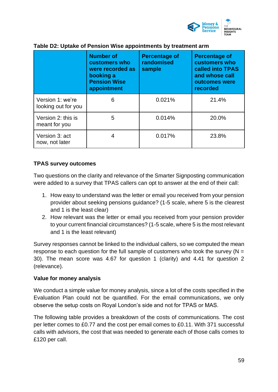

|                                         | <b>Number of</b><br>customers who<br>were recorded as<br>booking a<br><b>Pension Wise</b><br>appointment | <b>Percentage of</b><br>randomised<br>sample | <b>Percentage of</b><br>customers who<br>called into TPAS<br>and whose call<br>outcomes were<br><b>recorded</b> |
|-----------------------------------------|----------------------------------------------------------------------------------------------------------|----------------------------------------------|-----------------------------------------------------------------------------------------------------------------|
| Version 1: we're<br>looking out for you | 6                                                                                                        | 0.021%                                       | 21.4%                                                                                                           |
| Version 2: this is<br>meant for you     | 5                                                                                                        | 0.014%                                       | 20.0%                                                                                                           |
| Version 3: act<br>now, not later        | 4                                                                                                        | 0.017%                                       | 23.8%                                                                                                           |

## **Table D2: Uptake of Pension Wise appointments by treatment arm**

### **TPAS survey outcomes**

Two questions on the clarity and relevance of the Smarter Signposting communication were added to a survey that TPAS callers can opt to answer at the end of their call:

- 1. How easy to understand was the letter or email you received from your pension provider about seeking pensions guidance? (1-5 scale, where 5 is the clearest and 1 is the least clear)
- 2. How relevant was the letter or email you received from your pension provider to your current financial circumstances? (1-5 scale, where 5 is the most relevant and 1 is the least relevant)

Survey responses cannot be linked to the individual callers, so we computed the mean response to each question for the full sample of customers who took the survey ( $N =$ 30). The mean score was 4.67 for question 1 (clarity) and 4.41 for question 2 (relevance).

### **Value for money analysis**

We conduct a simple value for money analysis, since a lot of the costs specified in the Evaluation Plan could not be quantified. For the email communications, we only observe the setup costs on Royal London's side and not for TPAS or MAS.

The following table provides a breakdown of the costs of communications. The cost per letter comes to £0.77 and the cost per email comes to £0.11. With 371 successful calls with advisors, the cost that was needed to generate each of those calls comes to £120 per call.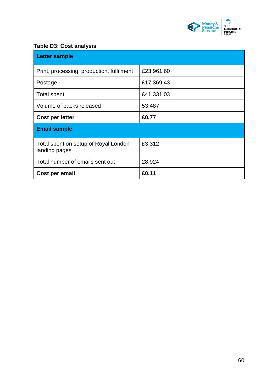

## **Table D3: Cost analysis**

| <b>Letter sample</b>                                  |            |
|-------------------------------------------------------|------------|
| Print, processing, production, fulfilment             | £23,961.60 |
| Postage                                               | £17,369.43 |
| <b>Total spent</b>                                    | £41,331.03 |
| Volume of packs released                              | 53,487     |
| Cost per letter                                       | £0.77      |
| <b>Email sample</b>                                   |            |
| Total spent on setup of Royal London<br>landing pages | £3,312     |
| Total number of emails sent out                       | 28,924     |
| Cost per email                                        | £0.11      |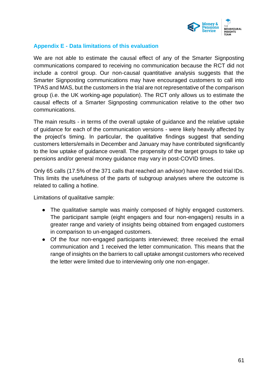

### **Appendix E - Data limitations of this evaluation**

We are not able to estimate the causal effect of any of the Smarter Signposting communications compared to receiving no communication because the RCT did not include a control group. Our non-causal quantitative analysis suggests that the Smarter Signposting communications may have encouraged customers to call into TPAS and MAS, but the customers in the trial are not representative of the comparison group (i.e. the UK working-age population). The RCT only allows us to estimate the causal effects of a Smarter Signposting communication relative to the other two communications.

The main results - in terms of the overall uptake of guidance and the relative uptake of guidance for each of the communication versions - were likely heavily affected by the project's timing. In particular, the qualitative findings suggest that sending customers letters/emails in December and January may have contributed significantly to the low uptake of guidance overall. The propensity of the target groups to take up pensions and/or general money guidance may vary in post-COVID times.

Only 65 calls (17.5% of the 371 calls that reached an advisor) have recorded trial IDs. This limits the usefulness of the parts of subgroup analyses where the outcome is related to calling a hotline.

Limitations of qualitative sample:

- The qualitative sample was mainly composed of highly engaged customers. The participant sample (eight engagers and four non-engagers) results in a greater range and variety of insights being obtained from engaged customers in comparison to un-engaged customers.
- Of the four non-engaged participants interviewed; three received the email communication and 1 received the letter communication. This means that the range of insights on the barriers to call uptake amongst customers who received the letter were limited due to interviewing only one non-engager.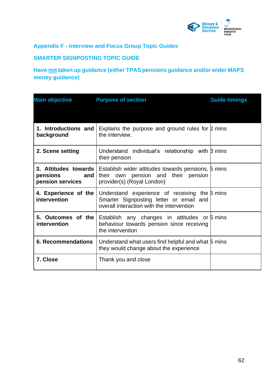

## **Appendix F - Interview and Focus Group Topic Guides**

## **SMARTER SIGNPOSTING TOPIC GUIDE**

# **Have not taken up guidance (either TPAS pensions guidance and/or wider MAPS money guidance)**

| <b>Main objective</b>                                         | <b>Purpose of section</b>                                                                                                             | <b>Guide timings</b> |
|---------------------------------------------------------------|---------------------------------------------------------------------------------------------------------------------------------------|----------------------|
|                                                               |                                                                                                                                       |                      |
| 1. Introductions and<br>background                            | Explains the purpose and ground rules for $\beta$ mins<br>the interview.                                                              |                      |
| 2. Scene setting                                              | Understand individual's relationship with B mins<br>their pension                                                                     |                      |
| 3. Attitudes towards<br>pensions<br>and  <br>pension services | Establish wider attitudes towards pensions, 5 mins<br>their own pension and their pension<br>provider(s) (Royal London)               |                      |
| 4. Experience of the<br>intervention                          | Understand experience of receiving the 5 mins<br>Smarter Signposting letter or email and<br>overall interaction with the intervention |                      |
| 5. Outcomes of the<br>intervention                            | Establish any changes in attitudes or 5 mins<br>behaviour towards pension since receiving<br>the intervention                         |                      |
| <b>6. Recommendations</b>                                     | Understand what users find helpful and what 5 mins<br>they would change about the experience                                          |                      |
| 7. Close                                                      | Thank you and close                                                                                                                   |                      |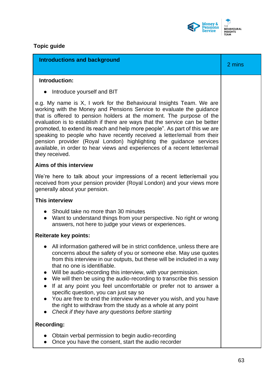

# **Topic guide**

| <b>Introductions and background</b>                                                                                                                                                                                                                                                                                                                                                                                                                                                                                                                                                                                                                                                                                 | 2 mins |
|---------------------------------------------------------------------------------------------------------------------------------------------------------------------------------------------------------------------------------------------------------------------------------------------------------------------------------------------------------------------------------------------------------------------------------------------------------------------------------------------------------------------------------------------------------------------------------------------------------------------------------------------------------------------------------------------------------------------|--------|
|                                                                                                                                                                                                                                                                                                                                                                                                                                                                                                                                                                                                                                                                                                                     |        |
| Introduction:                                                                                                                                                                                                                                                                                                                                                                                                                                                                                                                                                                                                                                                                                                       |        |
| Introduce yourself and BIT                                                                                                                                                                                                                                                                                                                                                                                                                                                                                                                                                                                                                                                                                          |        |
| e.g. My name is X, I work for the Behavioural Insights Team. We are<br>working with the Money and Pensions Service to evaluate the guidance<br>that is offered to pension holders at the moment. The purpose of the<br>evaluation is to establish if there are ways that the service can be better<br>promoted, to extend its reach and help more people". As part of this we are<br>speaking to people who have recently received a letter/email from their<br>pension provider (Royal London) highlighting the guidance services<br>available, in order to hear views and experiences of a recent letter/email<br>they received.                                                                                  |        |
| Aims of this interview                                                                                                                                                                                                                                                                                                                                                                                                                                                                                                                                                                                                                                                                                              |        |
| We're here to talk about your impressions of a recent letter/email you<br>received from your pension provider (Royal London) and your views more<br>generally about your pension.                                                                                                                                                                                                                                                                                                                                                                                                                                                                                                                                   |        |
| <b>This interview</b>                                                                                                                                                                                                                                                                                                                                                                                                                                                                                                                                                                                                                                                                                               |        |
| Should take no more than 30 minutes<br>$\bullet$<br>Want to understand things from your perspective. No right or wrong<br>$\bullet$<br>answers, not here to judge your views or experiences.                                                                                                                                                                                                                                                                                                                                                                                                                                                                                                                        |        |
| <b>Reiterate key points:</b>                                                                                                                                                                                                                                                                                                                                                                                                                                                                                                                                                                                                                                                                                        |        |
| All information gathered will be in strict confidence, unless there are<br>$\bullet$<br>concerns about the safety of you or someone else. May use quotes<br>from this interview in our outputs, but these will be included in a way<br>that no one is identifiable.<br>Will be audio-recording this interview, with your permission.<br>We will then be using the audio-recording to transcribe this session<br>If at any point you feel uncomfortable or prefer not to answer a<br>specific question, you can just say so<br>You are free to end the interview whenever you wish, and you have<br>the right to withdraw from the study as a whole at any point<br>Check if they have any questions before starting |        |
| <b>Recording:</b>                                                                                                                                                                                                                                                                                                                                                                                                                                                                                                                                                                                                                                                                                                   |        |
| Obtain verbal permission to begin audio-recording<br>Once you have the consent, start the audio recorder                                                                                                                                                                                                                                                                                                                                                                                                                                                                                                                                                                                                            |        |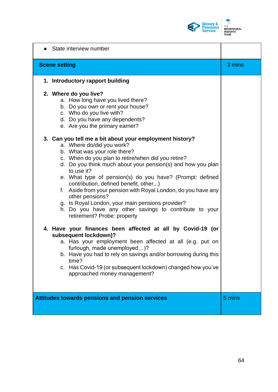

| State interview number                                                                                                                                                                                                                                                                                                                                                                                                                                                                                                                                                                                                                                                                                                                                                                                                                                                                                                                                                                                                                                                                                                                                        |        |
|---------------------------------------------------------------------------------------------------------------------------------------------------------------------------------------------------------------------------------------------------------------------------------------------------------------------------------------------------------------------------------------------------------------------------------------------------------------------------------------------------------------------------------------------------------------------------------------------------------------------------------------------------------------------------------------------------------------------------------------------------------------------------------------------------------------------------------------------------------------------------------------------------------------------------------------------------------------------------------------------------------------------------------------------------------------------------------------------------------------------------------------------------------------|--------|
| <b>Scene setting</b>                                                                                                                                                                                                                                                                                                                                                                                                                                                                                                                                                                                                                                                                                                                                                                                                                                                                                                                                                                                                                                                                                                                                          | 3 mins |
| 1. Introductory rapport building                                                                                                                                                                                                                                                                                                                                                                                                                                                                                                                                                                                                                                                                                                                                                                                                                                                                                                                                                                                                                                                                                                                              |        |
| 2. Where do you live?<br>a. How long have you lived there?<br>b. Do you own or rent your house?<br>c. Who do you live with?<br>d. Do you have any dependents?<br>e. Are you the primary earner?<br>3. Can you tell me a bit about your employment history?<br>a. Where do/did you work?<br>b. What was your role there?<br>c. When do you plan to retire/when did you retire?<br>d. Do you think much about your pension(s) and how you plan<br>to use it?<br>e. What type of pension(s) do you have? (Prompt: defined<br>contribution, defined benefit, other)<br>f. Aside from your pension with Royal London, do you have any<br>other pensions?<br>g. Is Royal London, your main pensions provider?<br>h. Do you have any other savings to contribute to your<br>retirement? Probe: property<br>4. Have your finances been affected at all by Covid-19 (or<br>subsequent lockdown)?<br>a. Has your employment been affected at all (e.g. put on<br>furlough, made unemployed)?<br>b. Have you had to rely on savings and/or borrowing during this<br>time?<br>c. Has Covid-19 (or subsequent lockdown) changed how you've<br>approached money management? |        |
| <b>Attitudes towards pensions and pension services</b>                                                                                                                                                                                                                                                                                                                                                                                                                                                                                                                                                                                                                                                                                                                                                                                                                                                                                                                                                                                                                                                                                                        | 5 mins |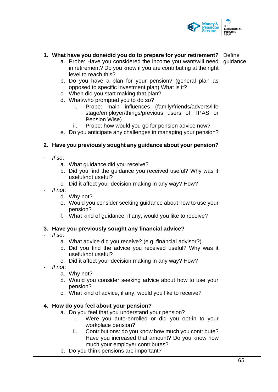

Τ

|                          |         | 1. What have you done/did you do to prepare for your retirement?<br>a. Probe: Have you considered the income you want/will need<br>in retirement? Do you know if you are contributing at the right<br>level to reach this? | Define<br>guidance |
|--------------------------|---------|----------------------------------------------------------------------------------------------------------------------------------------------------------------------------------------------------------------------------|--------------------|
|                          |         | b. Do you have a plan for your pension? (general plan as<br>opposed to specific investment plan) What is it?                                                                                                               |                    |
|                          |         | c. When did you start making that plan?                                                                                                                                                                                    |                    |
|                          |         | d. What/who prompted you to do so?                                                                                                                                                                                         |                    |
|                          |         | Probe: main influences (family/friends/adverts/life<br>İ.<br>stage/employer/things/previous users of TPAS or<br>Pension Wise)<br>Probe: how would you go for pension advice now?<br>ii.                                    |                    |
|                          |         | e. Do you anticipate any challenges in managing your pension?                                                                                                                                                              |                    |
|                          |         | 2. Have you previously sought any guidance about your pension?                                                                                                                                                             |                    |
|                          | If so:  |                                                                                                                                                                                                                            |                    |
|                          |         | a. What guidance did you receive?                                                                                                                                                                                          |                    |
|                          |         | b. Did you find the guidance you received useful? Why was it                                                                                                                                                               |                    |
|                          |         | useful/not useful?                                                                                                                                                                                                         |                    |
|                          |         | c. Did it affect your decision making in any way? How?                                                                                                                                                                     |                    |
|                          | If not. |                                                                                                                                                                                                                            |                    |
|                          |         | d. Why not?                                                                                                                                                                                                                |                    |
|                          |         | e. Would you consider seeking guidance about how to use your<br>pension?                                                                                                                                                   |                    |
|                          | f.      | What kind of guidance, if any, would you like to receive?                                                                                                                                                                  |                    |
| $\overline{\phantom{0}}$ | If so:  | 3. Have you previously sought any financial advice?                                                                                                                                                                        |                    |
|                          |         | a. What advice did you receive? (e.g. financial advisor?)                                                                                                                                                                  |                    |
|                          |         | b. Did you find the advice you received useful? Why was it<br>useful/not useful?                                                                                                                                           |                    |
|                          | $C_{1}$ | Did it affect your decision making in any way? How?                                                                                                                                                                        |                    |
|                          | If not. |                                                                                                                                                                                                                            |                    |
|                          |         | a. Why not?                                                                                                                                                                                                                |                    |
|                          |         | b. Would you consider seeking advice about how to use your<br>pension?                                                                                                                                                     |                    |
|                          |         | c. What kind of advice, if any, would you like to receive?                                                                                                                                                                 |                    |
|                          |         | 4. How do you feel about your pension?                                                                                                                                                                                     |                    |
|                          |         | a. Do you feel that you understand your pension?                                                                                                                                                                           |                    |
|                          |         | Were you auto-enrolled or did you opt-in to your<br>L.                                                                                                                                                                     |                    |
|                          |         | workplace pension?                                                                                                                                                                                                         |                    |
|                          |         | Contributions: do you know how much you contribute?<br>ii.                                                                                                                                                                 |                    |
|                          |         | Have you increased that amount? Do you know how                                                                                                                                                                            |                    |
|                          |         | much your employer contributes?                                                                                                                                                                                            |                    |
|                          |         | b. Do you think pensions are important?                                                                                                                                                                                    |                    |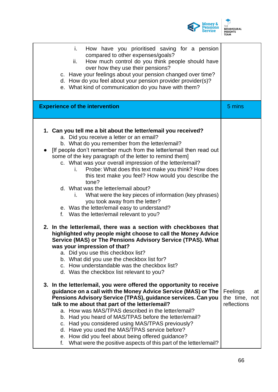

| How have you prioritised saving for a pension<br>i.<br>compared to other expenses/goals?<br>How much control do you think people should have<br>ii.<br>over how they use their pensions?<br>c. Have your feelings about your pension changed over time?<br>d. How do you feel about your pension provider provider(s)?<br>e. What kind of communication do you have with them?                                                                                                                                                                                                                                                                                                                                          |                                                |
|-------------------------------------------------------------------------------------------------------------------------------------------------------------------------------------------------------------------------------------------------------------------------------------------------------------------------------------------------------------------------------------------------------------------------------------------------------------------------------------------------------------------------------------------------------------------------------------------------------------------------------------------------------------------------------------------------------------------------|------------------------------------------------|
| <b>Experience of the intervention</b>                                                                                                                                                                                                                                                                                                                                                                                                                                                                                                                                                                                                                                                                                   | 5 mins                                         |
| 1. Can you tell me a bit about the letter/email you received?<br>a. Did you receive a letter or an email?<br>b. What do you remember from the letter/email?<br>If people don't remember much from the letter/email then read out<br>some of the key paragraph of the letter to remind them]<br>c. What was your overall impression of the letter/email?<br>Probe: What does this text make you think? How does<br>i.<br>this text make you feel? How would you describe the<br>tone?<br>d. What was the letter/email about?<br>What were the key pieces of information (key phrases)<br>L.<br>you took away from the letter?<br>e. Was the letter/email easy to understand?<br>f. Was the letter/email relevant to you? |                                                |
| 2. In the letter/email, there was a section with checkboxes that<br>highlighted why people might choose to call the Money Advice<br>Service (MAS) or The Pensions Advisory Service (TPAS). What<br>was your impression of that?<br>a. Did you use this checkbox list?<br>b. What did you use the checkbox list for?<br>How understandable was the checkbox list?<br>C.<br>d. Was the checkbox list relevant to you?                                                                                                                                                                                                                                                                                                     |                                                |
| 3. In the letter/email, you were offered the opportunity to receive<br>guidance on a call with the Money Advice Service (MAS) or The<br>Pensions Advisory Service (TPAS), guidance services. Can you<br>talk to me about that part of the letter/email?<br>a. How was MAS/TPAS described in the letter/email?<br>b. Had you heard of MAS/TPAS before the letter/email?<br>c. Had you considered using MAS/TPAS previously?<br>d. Have you used the MAS/TPAS service before?<br>e. How did you feel about being offered guidance?<br>What were the positive aspects of this part of the letter/email?<br>f.                                                                                                              | Feelings<br>at<br>the time, not<br>reflections |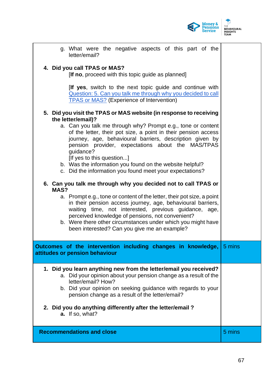

| g. What were the negative aspects of this part of the<br>letter/email?                                                                                                                                                                                                                                                                                                                                                                       |        |
|----------------------------------------------------------------------------------------------------------------------------------------------------------------------------------------------------------------------------------------------------------------------------------------------------------------------------------------------------------------------------------------------------------------------------------------------|--------|
| 4. Did you call TPAS or MAS?<br>[If no, proceed with this topic guide as planned]                                                                                                                                                                                                                                                                                                                                                            |        |
| <b>If yes,</b> switch to the next topic guide and continue with<br>Question: 5. Can you talk me through why you decided to call<br><b>TPAS or MAS?</b> (Experience of Intervention)                                                                                                                                                                                                                                                          |        |
| 5. Did you visit the TPAS or MAS website (in response to receiving<br>the letter/email)?                                                                                                                                                                                                                                                                                                                                                     |        |
| a. Can you talk me through why? Prompt e.g., tone or content<br>of the letter, their pot size, a point in their pension access<br>journey, age, behavioural barriers, description given by<br>pension provider, expectations about the MAS/TPAS<br>quidance?<br>[If yes to this question]<br>b. Was the information you found on the website helpful?<br>c. Did the information you found meet your expectations?                            |        |
| 6. Can you talk me through why you decided not to call TPAS or<br>MAS?<br>a. Prompt e.g., tone or content of the letter, their pot size, a point<br>in their pension access journey, age, behavioural barriers,<br>waiting time, not interested, previous guidance, age,<br>perceived knowledge of pensions, not convenient?<br>b. Were there other circumstances under which you might have<br>been interested? Can you give me an example? |        |
| Outcomes of the intervention including changes in knowledge,<br>attitudes or pension behaviour                                                                                                                                                                                                                                                                                                                                               | 5 mins |
| 1. Did you learn anything new from the letter/email you received?<br>a. Did your opinion about your pension change as a result of the<br>letter/email? How?<br>b. Did your opinion on seeking guidance with regards to your<br>pension change as a result of the letter/email?<br>2. Did you do anything differently after the letter/email?<br>a. If so, what?                                                                              |        |
| <b>Recommendations and close</b>                                                                                                                                                                                                                                                                                                                                                                                                             | 5 mins |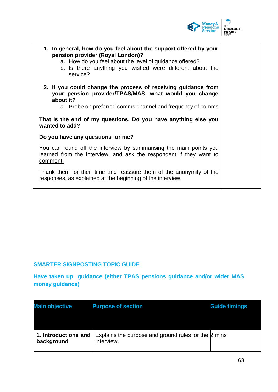

| 1. In general, how do you feel about the support offered by your<br>pension provider (Royal London)?<br>a. How do you feel about the level of guidance offered?<br>b. Is there anything you wished were different about the<br>service? |  |
|-----------------------------------------------------------------------------------------------------------------------------------------------------------------------------------------------------------------------------------------|--|
| 2. If you could change the process of receiving guidance from<br>your pension provider/TPAS/MAS, what would you change<br>about it?                                                                                                     |  |
| a. Probe on preferred comms channel and frequency of comms                                                                                                                                                                              |  |
| That is the end of my questions. Do you have anything else you<br>wanted to add?                                                                                                                                                        |  |
| Do you have any questions for me?                                                                                                                                                                                                       |  |
| You can round off the interview by summarising the main points you<br>learned from the interview, and ask the respondent if they want to<br>comment.                                                                                    |  |
| Thank them for their time and reassure them of the anonymity of the<br>responses, as explained at the beginning of the interview.                                                                                                       |  |

# **SMARTER SIGNPOSTING TOPIC GUIDE**

**Have taken up guidance (either TPAS pensions guidance and/or wider MAS money guidance)**

| <b>Main objective</b>              | <b>Purpose of section</b>                                          | <b>Guide timings</b> |
|------------------------------------|--------------------------------------------------------------------|----------------------|
| 1. Introductions and<br>background | Explains the purpose and ground rules for the 2 mins<br>interview. |                      |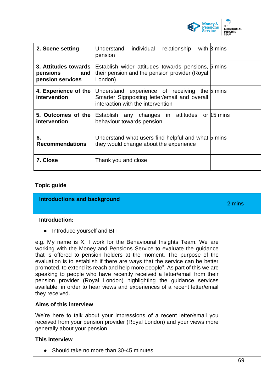

| 2. Scene setting                                                     | Understand individual<br>relationship<br>pension                                                                                   | with B mins |
|----------------------------------------------------------------------|------------------------------------------------------------------------------------------------------------------------------------|-------------|
| 3. Attitudes towards I<br>pensions<br><b>and</b><br>pension services | Establish wider attitudes towards pensions, 5 mins<br>their pension and the pension provider (Royal<br>London)                     |             |
| 4. Experience of the<br>intervention                                 | Understand experience of receiving the 5 mins<br>Smarter Signposting letter/email and overall<br>interaction with the intervention |             |
| 5. Outcomes of the<br>intervention                                   | Establish any changes in attitudes or 15 mins<br>behaviour towards pension                                                         |             |
| 6.<br><b>Recommendations</b>                                         | Understand what users find helpful and what 5 mins<br>they would change about the experience                                       |             |
| 7. Close                                                             | Thank you and close                                                                                                                |             |

# **Topic guide**

| <b>Introductions and background</b>                                                                                                                                                                                                                                                                                                                                                                                                                                                                                                                                                                                                | 2 mins |
|------------------------------------------------------------------------------------------------------------------------------------------------------------------------------------------------------------------------------------------------------------------------------------------------------------------------------------------------------------------------------------------------------------------------------------------------------------------------------------------------------------------------------------------------------------------------------------------------------------------------------------|--------|
| Introduction:                                                                                                                                                                                                                                                                                                                                                                                                                                                                                                                                                                                                                      |        |
| Introduce yourself and BIT                                                                                                                                                                                                                                                                                                                                                                                                                                                                                                                                                                                                         |        |
| e.g. My name is X, I work for the Behavioural Insights Team. We are<br>working with the Money and Pensions Service to evaluate the guidance<br>that is offered to pension holders at the moment. The purpose of the<br>evaluation is to establish if there are ways that the service can be better<br>promoted, to extend its reach and help more people". As part of this we are<br>speaking to people who have recently received a letter/email from their<br>pension provider (Royal London) highlighting the guidance services<br>available, in order to hear views and experiences of a recent letter/email<br>they received. |        |
| Aims of this interview                                                                                                                                                                                                                                                                                                                                                                                                                                                                                                                                                                                                             |        |
| We're here to talk about your impressions of a recent letter/email you<br>received from your pension provider (Royal London) and your views more<br>generally about your pension.                                                                                                                                                                                                                                                                                                                                                                                                                                                  |        |
| This interview                                                                                                                                                                                                                                                                                                                                                                                                                                                                                                                                                                                                                     |        |
| Should take no more than 30-45 minutes                                                                                                                                                                                                                                                                                                                                                                                                                                                                                                                                                                                             |        |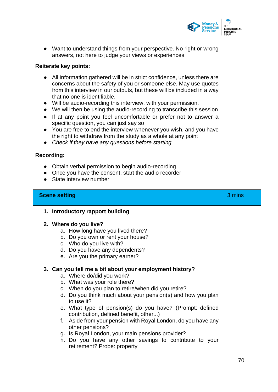

|                        |                      | Want to understand things from your perspective. No right or wrong<br>answers, not here to judge your views or experiences.                                                                                                                                                                                                                                                                                                                                                                                                                                                                                                                                                                            |        |
|------------------------|----------------------|--------------------------------------------------------------------------------------------------------------------------------------------------------------------------------------------------------------------------------------------------------------------------------------------------------------------------------------------------------------------------------------------------------------------------------------------------------------------------------------------------------------------------------------------------------------------------------------------------------------------------------------------------------------------------------------------------------|--------|
|                        |                      | <b>Reiterate key points:</b>                                                                                                                                                                                                                                                                                                                                                                                                                                                                                                                                                                                                                                                                           |        |
| $\bullet$<br>$\bullet$ |                      | All information gathered will be in strict confidence, unless there are<br>concerns about the safety of you or someone else. May use quotes<br>from this interview in our outputs, but these will be included in a way<br>that no one is identifiable.<br>Will be audio-recording this interview, with your permission.<br>We will then be using the audio-recording to transcribe this session<br>If at any point you feel uncomfortable or prefer not to answer a<br>specific question, you can just say so<br>You are free to end the interview whenever you wish, and you have<br>the right to withdraw from the study as a whole at any point<br>Check if they have any questions before starting |        |
|                        | <b>Recording:</b>    |                                                                                                                                                                                                                                                                                                                                                                                                                                                                                                                                                                                                                                                                                                        |        |
|                        |                      | Obtain verbal permission to begin audio-recording<br>Once you have the consent, start the audio recorder<br>State interview number                                                                                                                                                                                                                                                                                                                                                                                                                                                                                                                                                                     |        |
|                        | <b>Scene setting</b> |                                                                                                                                                                                                                                                                                                                                                                                                                                                                                                                                                                                                                                                                                                        | 3 mins |
|                        |                      |                                                                                                                                                                                                                                                                                                                                                                                                                                                                                                                                                                                                                                                                                                        |        |
|                        |                      | 1. Introductory rapport building                                                                                                                                                                                                                                                                                                                                                                                                                                                                                                                                                                                                                                                                       |        |
|                        |                      |                                                                                                                                                                                                                                                                                                                                                                                                                                                                                                                                                                                                                                                                                                        |        |
|                        |                      | 2. Where do you live?<br>a. How long have you lived there?                                                                                                                                                                                                                                                                                                                                                                                                                                                                                                                                                                                                                                             |        |
|                        |                      | b. Do you own or rent your house?                                                                                                                                                                                                                                                                                                                                                                                                                                                                                                                                                                                                                                                                      |        |
|                        |                      | c. Who do you live with?                                                                                                                                                                                                                                                                                                                                                                                                                                                                                                                                                                                                                                                                               |        |
|                        |                      | d. Do you have any dependents?                                                                                                                                                                                                                                                                                                                                                                                                                                                                                                                                                                                                                                                                         |        |
|                        |                      | e. Are you the primary earner?                                                                                                                                                                                                                                                                                                                                                                                                                                                                                                                                                                                                                                                                         |        |
|                        |                      |                                                                                                                                                                                                                                                                                                                                                                                                                                                                                                                                                                                                                                                                                                        |        |
|                        |                      | 3. Can you tell me a bit about your employment history?<br>a. Where do/did you work?                                                                                                                                                                                                                                                                                                                                                                                                                                                                                                                                                                                                                   |        |
|                        |                      | b. What was your role there?                                                                                                                                                                                                                                                                                                                                                                                                                                                                                                                                                                                                                                                                           |        |
|                        |                      | c. When do you plan to retire/when did you retire?                                                                                                                                                                                                                                                                                                                                                                                                                                                                                                                                                                                                                                                     |        |
|                        |                      | d. Do you think much about your pension(s) and how you plan                                                                                                                                                                                                                                                                                                                                                                                                                                                                                                                                                                                                                                            |        |
|                        |                      | to use it?                                                                                                                                                                                                                                                                                                                                                                                                                                                                                                                                                                                                                                                                                             |        |
|                        |                      | e. What type of pension(s) do you have? (Prompt: defined                                                                                                                                                                                                                                                                                                                                                                                                                                                                                                                                                                                                                                               |        |
|                        |                      | contribution, defined benefit, other)                                                                                                                                                                                                                                                                                                                                                                                                                                                                                                                                                                                                                                                                  |        |
|                        | f.                   | Aside from your pension with Royal London, do you have any                                                                                                                                                                                                                                                                                                                                                                                                                                                                                                                                                                                                                                             |        |
|                        |                      | other pensions?                                                                                                                                                                                                                                                                                                                                                                                                                                                                                                                                                                                                                                                                                        |        |
|                        |                      | g. Is Royal London, your main pensions provider?<br>h. Do you have any other savings to contribute to your                                                                                                                                                                                                                                                                                                                                                                                                                                                                                                                                                                                             |        |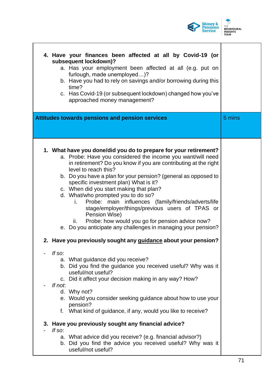

٦

| 4. Have your finances been affected at all by Covid-19 (or<br>subsequent lockdown)?<br>a. Has your employment been affected at all (e.g. put on<br>furlough, made unemployed)?<br>b. Have you had to rely on savings and/or borrowing during this<br>time?<br>c. Has Covid-19 (or subsequent lockdown) changed how you've<br>approached money management?                                                                                                                                                                                                                                                                                                                          |        |
|------------------------------------------------------------------------------------------------------------------------------------------------------------------------------------------------------------------------------------------------------------------------------------------------------------------------------------------------------------------------------------------------------------------------------------------------------------------------------------------------------------------------------------------------------------------------------------------------------------------------------------------------------------------------------------|--------|
| Attitudes towards pensions and pension services                                                                                                                                                                                                                                                                                                                                                                                                                                                                                                                                                                                                                                    | 5 mins |
| 1. What have you done/did you do to prepare for your retirement?<br>a. Probe: Have you considered the income you want/will need<br>in retirement? Do you know if you are contributing at the right<br>level to reach this?<br>b. Do you have a plan for your pension? (general as opposed to<br>specific investment plan) What is it?<br>c. When did you start making that plan?<br>d. What/who prompted you to do so?<br>Probe: main influences (family/friends/adverts/life<br>i.<br>stage/employer/things/previous users of TPAS or<br>Pension Wise)<br>Probe: how would you go for pension advice now?<br>ii.<br>e. Do you anticipate any challenges in managing your pension? |        |
| 2. Have you previously sought any guidance about your pension?                                                                                                                                                                                                                                                                                                                                                                                                                                                                                                                                                                                                                     |        |
| If so:<br>a. What guidance did you receive?<br>b. Did you find the guidance you received useful? Why was it<br>useful/not useful?<br>c. Did it affect your decision making in any way? How?<br>If not.<br>d. Why not?<br>e. Would you consider seeking guidance about how to use your<br>pension?<br>f. What kind of guidance, if any, would you like to receive?                                                                                                                                                                                                                                                                                                                  |        |
| 3. Have you previously sought any financial advice?<br>If so:<br>a. What advice did you receive? (e.g. financial advisor?)<br>b. Did you find the advice you received useful? Why was it<br>useful/not useful?                                                                                                                                                                                                                                                                                                                                                                                                                                                                     |        |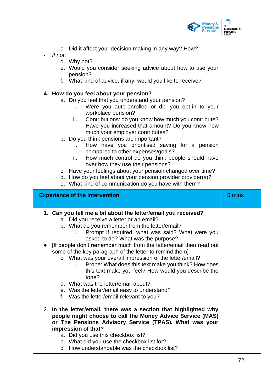

| c. Did it affect your decision making in any way? How?                                                                                                                                                                                  |        |
|-----------------------------------------------------------------------------------------------------------------------------------------------------------------------------------------------------------------------------------------|--------|
| If not.<br>d. Why not?                                                                                                                                                                                                                  |        |
| e. Would you consider seeking advice about how to use your<br>pension?                                                                                                                                                                  |        |
| f. What kind of advice, if any, would you like to receive?                                                                                                                                                                              |        |
| 4. How do you feel about your pension?<br>a. Do you feel that you understand your pension?                                                                                                                                              |        |
| Were you auto-enrolled or did you opt-in to your<br>L.<br>workplace pension?<br>Contributions: do you know how much you contribute?<br>ii.                                                                                              |        |
| Have you increased that amount? Do you know how<br>much your employer contributes?                                                                                                                                                      |        |
| b. Do you think pensions are important?<br>How have you prioritised saving for a pension<br>Ι.<br>compared to other expenses/goals?                                                                                                     |        |
| How much control do you think people should have<br>ii.<br>over how they use their pensions?                                                                                                                                            |        |
| c. Have your feelings about your pension changed over time?<br>d. How do you feel about your pension provider provider(s)?                                                                                                              |        |
| e. What kind of communication do you have with them?                                                                                                                                                                                    |        |
|                                                                                                                                                                                                                                         |        |
| <b>Experience of the intervention</b>                                                                                                                                                                                                   | 5 mins |
|                                                                                                                                                                                                                                         |        |
| 1. Can you tell me a bit about the letter/email you received?<br>a. Did you receive a letter or an email?                                                                                                                               |        |
| b. What do you remember from the letter/email?<br>Prompt if required: what was said? What were you<br>i.                                                                                                                                |        |
| asked to do? What was the purpose?<br>[If people don't remember much from the letter/email then read out                                                                                                                                |        |
| some of the key paragraph of the letter to remind them]<br>c. What was your overall impression of the letter/email?<br>Probe: What does this text make you think? How does<br>i.<br>this text make you feel? How would you describe the |        |
| tone?<br>d. What was the letter/email about?                                                                                                                                                                                            |        |
| e. Was the letter/email easy to understand?<br>f. Was the letter/email relevant to you?                                                                                                                                                 |        |
| 2. In the letter/email, there was a section that highlighted why<br>people might choose to call the Money Advice Service (MAS)<br>or The Pensions Advisory Service (TPAS). What was your                                                |        |
| impression of that?<br>a. Did you use this checkbox list?<br>b. What did you use the checkbox list for?                                                                                                                                 |        |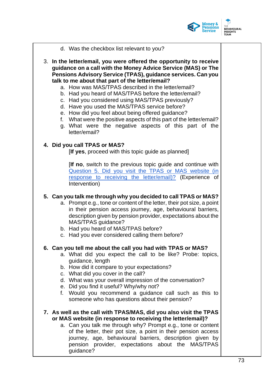

- d. Was the checkbox list relevant to you?
- 3. **In the letter/email, you were offered the opportunity to receive guidance on a call with the Money Advice Service (MAS) or The Pensions Advisory Service (TPAS), guidance services. Can you talk to me about that part of the letter/email?** 
	- a. How was MAS/TPAS described in the letter/email?
	- b. Had you heard of MAS/TPAS before the letter/email?
	- c. Had you considered using MAS/TPAS previously?
	- d. Have you used the MAS/TPAS service before?
	- e. How did you feel about being offered guidance?
	- f. What were the positive aspects of this part of the letter/email?
	- g. What were the negative aspects of this part of the letter/email?

### **4. Did you call TPAS or MAS?**

[**If yes**, proceed with this topic guide as planned]

[**If no**, switch to the previous topic guide and continue with Question 5. Did you visit the TPAS or MAS website (in response to receiving the letter/email)? (Experience of Intervention)

### **5. Can you talk me through why you decided to call TPAS or MAS?**

- a. Prompt e.g., tone or content of the letter, their pot size, a point in their pension access journey, age, behavioural barriers, description given by pension provider, expectations about the MAS/TPAS guidance?
- b. Had you heard of MAS/TPAS before?
- c. Had you ever considered calling them before?

#### **6. Can you tell me about the call you had with TPAS or MAS?**

- a. What did you expect the call to be like? Probe: topics, guidance, length
- b. How did it compare to your expectations?
- c. What did you cover in the call?
- d. What was your overall impression of the conversation?
- e. Did you find it useful? Why/why not?
- f. Would you recommend a guidance call such as this to someone who has questions about their pension?
- **7. As well as the call with TPAS/MAS, did you also visit the TPAS or MAS website (in response to receiving the letter/email)?**
	- a. Can you talk me through why? Prompt e.g., tone or content of the letter, their pot size, a point in their pension access journey, age, behavioural barriers, description given by pension provider, expectations about the MAS/TPAS guidance?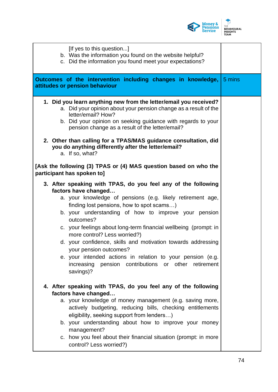

| [If yes to this question]<br>b. Was the information you found on the website helpful?<br>c. Did the information you found meet your expectations?                                                                                                                                                                                                                                                                                                                                                                                                                                                      |  |
|--------------------------------------------------------------------------------------------------------------------------------------------------------------------------------------------------------------------------------------------------------------------------------------------------------------------------------------------------------------------------------------------------------------------------------------------------------------------------------------------------------------------------------------------------------------------------------------------------------|--|
| <b>Outcomes of the intervention including changes in knowledge, 5 mins</b><br>attitudes or pension behaviour                                                                                                                                                                                                                                                                                                                                                                                                                                                                                           |  |
| 1. Did you learn anything new from the letter/email you received?<br>a. Did your opinion about your pension change as a result of the<br>letter/email? How?<br>b. Did your opinion on seeking guidance with regards to your<br>pension change as a result of the letter/email?                                                                                                                                                                                                                                                                                                                         |  |
| 2. Other than calling for a TPAS/MAS guidance consultation, did<br>you do anything differently after the letter/email?<br>a. If so, what?                                                                                                                                                                                                                                                                                                                                                                                                                                                              |  |
| [Ask the following (3) TPAS or (4) MAS question based on who the<br>participant has spoken to]                                                                                                                                                                                                                                                                                                                                                                                                                                                                                                         |  |
| 3. After speaking with TPAS, do you feel any of the following<br>factors have changed<br>a. your knowledge of pensions (e.g. likely retirement age,<br>finding lost pensions, how to spot scams)<br>b. your understanding of how to improve your pension<br>outcomes?<br>c. your feelings about long-term financial wellbeing (prompt: in<br>more control? Less worried?)<br>d. your confidence, skills and motivation towards addressing<br>your pension outcomes?<br>e. your intended actions in relation to your pension (e.g.<br>increasing pension contributions or other retirement<br>savings)? |  |
| 4. After speaking with TPAS, do you feel any of the following<br>factors have changed<br>a. your knowledge of money management (e.g. saving more,<br>actively budgeting, reducing bills, checking entitlements<br>eligibility, seeking support from lenders)<br>b. your understanding about how to improve your money<br>management?<br>c. how you feel about their financial situation (prompt: in more<br>control? Less worried?)                                                                                                                                                                    |  |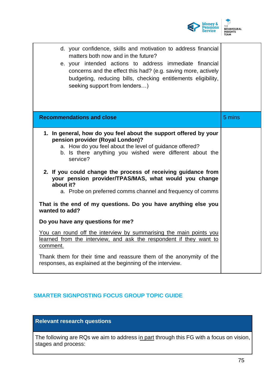

| d. your confidence, skills and motivation to address financial<br>matters both now and in the future?<br>e. your intended actions to address immediate financial<br>concerns and the effect this had? (e.g. saving more, actively<br>budgeting, reducing bills, checking entitlements eligibility,<br>seeking support from lenders)                                                                                                          |        |
|----------------------------------------------------------------------------------------------------------------------------------------------------------------------------------------------------------------------------------------------------------------------------------------------------------------------------------------------------------------------------------------------------------------------------------------------|--------|
| <b>Recommendations and close</b>                                                                                                                                                                                                                                                                                                                                                                                                             | 5 mins |
| 1. In general, how do you feel about the support offered by your<br>pension provider (Royal London)?<br>a. How do you feel about the level of guidance offered?<br>b. Is there anything you wished were different about the<br>service?<br>2. If you could change the process of receiving guidance from<br>your pension provider/TPAS/MAS, what would you change<br>about it?<br>a. Probe on preferred comms channel and frequency of comms |        |
| That is the end of my questions. Do you have anything else you<br>wanted to add?                                                                                                                                                                                                                                                                                                                                                             |        |
| Do you have any questions for me?                                                                                                                                                                                                                                                                                                                                                                                                            |        |
| You can round off the interview by summarising the main points you<br>learned from the interview, and ask the respondent if they want to<br>comment.                                                                                                                                                                                                                                                                                         |        |
| Thank them for their time and reassure them of the anonymity of the<br>responses, as explained at the beginning of the interview.                                                                                                                                                                                                                                                                                                            |        |

# **SMARTER SIGNPOSTING FOCUS GROUP TOPIC GUIDE**

The following are RQs we aim to address in part through this FG with a focus on vision, stages and process: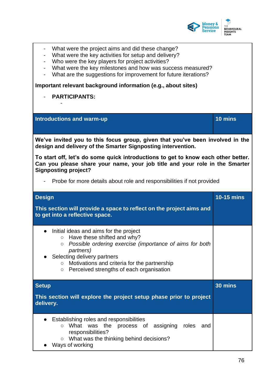

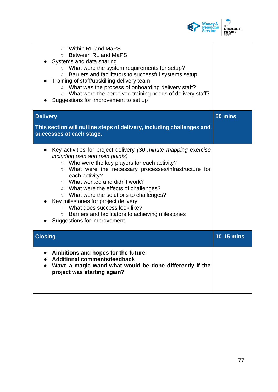

| Within RL and MaPS<br>$\circ$<br><b>Between RL and MaPS</b><br>$\circ$<br>Systems and data sharing<br>What were the system requirements for setup?<br>$\circ$<br>Barriers and facilitators to successful systems setup<br>$\circ$<br>Training of staff/upskilling delivery team<br>$\circ$ What was the process of onboarding delivery staff?<br>What were the perceived training needs of delivery staff?<br>$\bigcirc$<br>Suggestions for improvement to set up                                                                                                |                   |
|------------------------------------------------------------------------------------------------------------------------------------------------------------------------------------------------------------------------------------------------------------------------------------------------------------------------------------------------------------------------------------------------------------------------------------------------------------------------------------------------------------------------------------------------------------------|-------------------|
| <b>Delivery</b><br>This section will outline steps of delivery, including challenges and<br>successes at each stage.                                                                                                                                                                                                                                                                                                                                                                                                                                             | 50 mins           |
| Key activities for project delivery (30 minute mapping exercise<br>including pain and gain points)<br>○ Who were the key players for each activity?<br>What were the necessary processes/infrastructure for<br>$\circ$<br>each activity?<br>What worked and didn't work?<br>$\circ$<br>○ What were the effects of challenges?<br>What were the solutions to challenges?<br>$\circ$<br>Key milestones for project delivery<br>What does success look like?<br>$\bigcirc$<br>Barriers and facilitators to achieving milestones<br>O<br>Suggestions for improvement |                   |
| <b>Closing</b>                                                                                                                                                                                                                                                                                                                                                                                                                                                                                                                                                   | <b>10-15 mins</b> |
| Ambitions and hopes for the future<br><b>Additional comments/feedback</b><br>Wave a magic wand-what would be done differently if the<br>project was starting again?                                                                                                                                                                                                                                                                                                                                                                                              |                   |